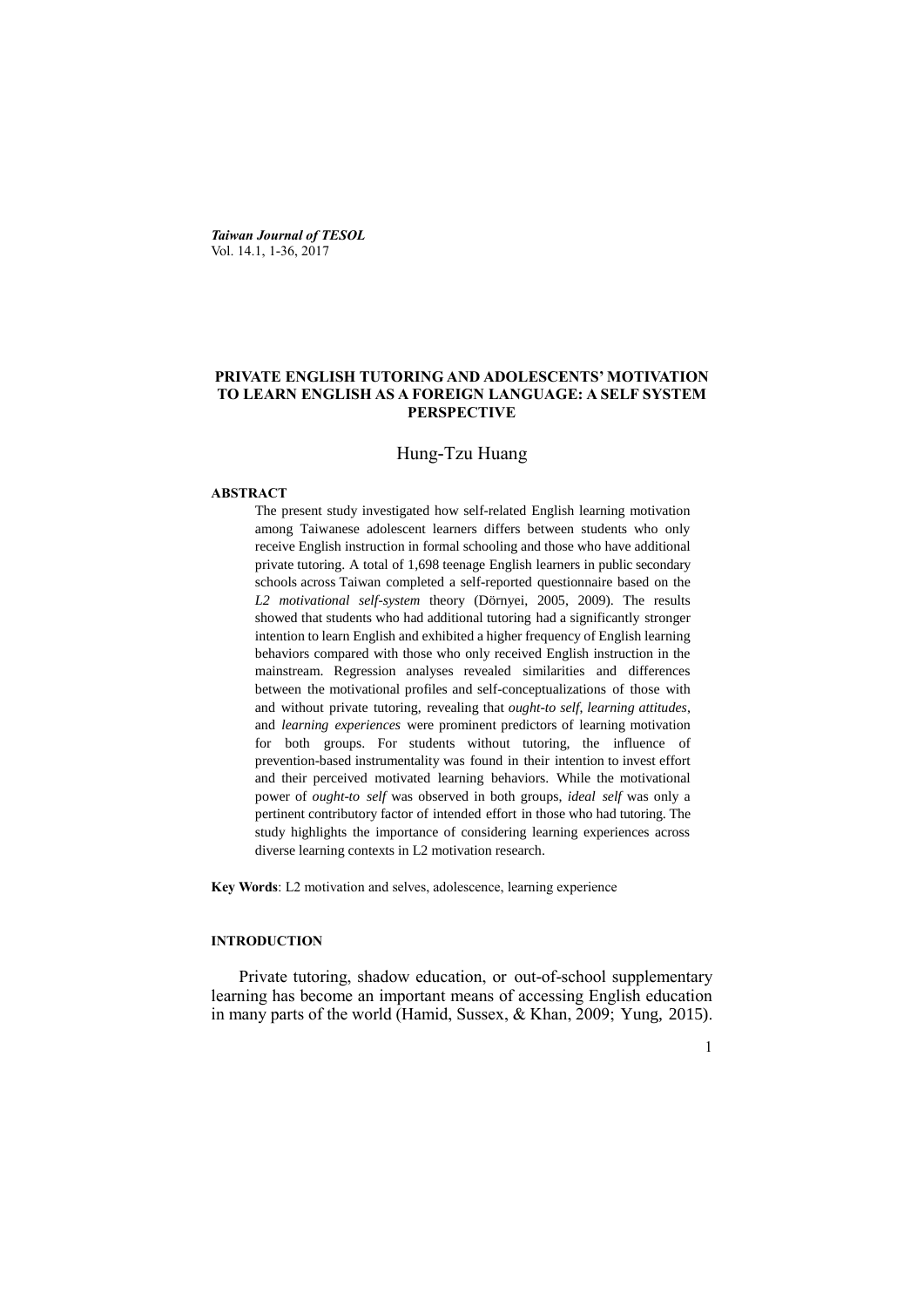*Taiwan Journal of TESOL* Vol. 14.1, 1-36, 2017

# **PRIVATE ENGLISH TUTORING AND ADOLESCENTS' MOTIVATION TO LEARN ENGLISH AS A FOREIGN LANGUAGE: A SELF SYSTEM PERSPECTIVE**

# Hung-Tzu Huang

#### **ABSTRACT**

The present study investigated how self-related English learning motivation among Taiwanese adolescent learners differs between students who only receive English instruction in formal schooling and those who have additional private tutoring. A total of 1,698 teenage English learners in public secondary schools across Taiwan completed a self-reported questionnaire based on the *L2 motivational self-system* theory (Dörnyei, 2005, 2009). The results showed that students who had additional tutoring had a significantly stronger intention to learn English and exhibited a higher frequency of English learning behaviors compared with those who only received English instruction in the mainstream. Regression analyses revealed similarities and differences between the motivational profiles and self-conceptualizations of those with and without private tutoring, revealing that *ought-to self*, *learning attitudes*, and *learning experiences* were prominent predictors of learning motivation for both groups. For students without tutoring, the influence of prevention-based instrumentality was found in their intention to invest effort and their perceived motivated learning behaviors. While the motivational power of *ought-to self* was observed in both groups, *ideal self* was only a pertinent contributory factor of intended effort in those who had tutoring. The study highlights the importance of considering learning experiences across diverse learning contexts in L2 motivation research.

**Key Words**: L2 motivation and selves, adolescence, learning experience

### **INTRODUCTION**

Private tutoring, shadow education, or out-of-school supplementary learning has become an important means of accessing English education in many parts of the world (Hamid, Sussex, & Khan, 2009; Yung, 2015).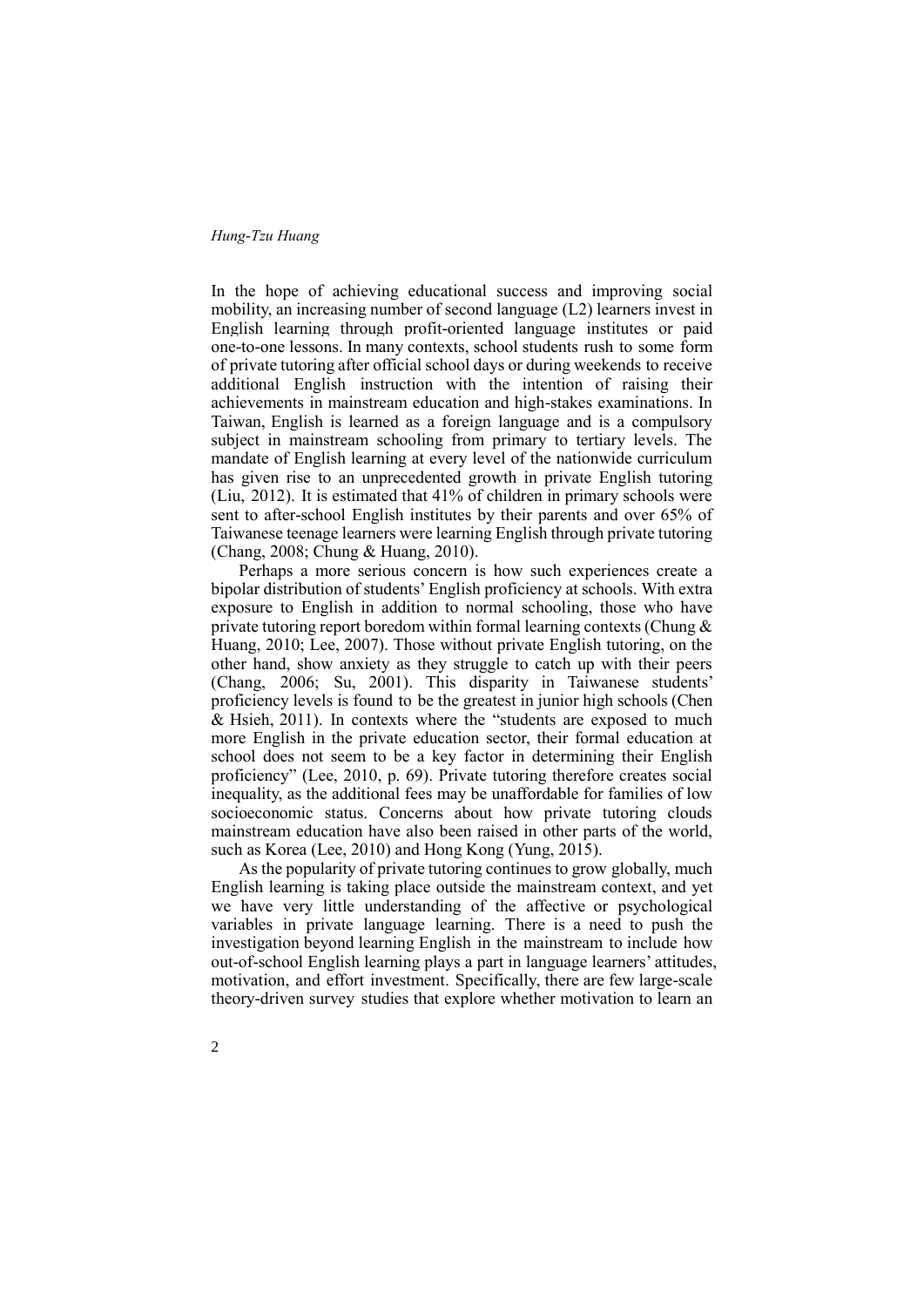In the hope of achieving educational success and improving social mobility, an increasing number of second language (L2) learners invest in English learning through profit-oriented language institutes or paid one-to-one lessons. In many contexts, school students rush to some form of private tutoring after official school days or during weekends to receive additional English instruction with the intention of raising their achievements in mainstream education and high-stakes examinations. In Taiwan, English is learned as a foreign language and is a compulsory subject in mainstream schooling from primary to tertiary levels. The mandate of English learning at every level of the nationwide curriculum has given rise to an unprecedented growth in private English tutoring (Liu, 2012). It is estimated that 41% of children in primary schools were sent to after-school English institutes by their parents and over 65% of Taiwanese teenage learners were learning English through private tutoring (Chang, 2008; Chung & Huang, 2010).

Perhaps a more serious concern is how such experiences create a bipolar distribution of students' English proficiency at schools. With extra exposure to English in addition to normal schooling, those who have private tutoring report boredom within formal learning contexts (Chung & Huang, 2010; Lee, 2007). Those without private English tutoring, on the other hand, show anxiety as they struggle to catch up with their peers (Chang, 2006; Su, 2001). This disparity in Taiwanese students' proficiency levels is found to be the greatest in junior high schools (Chen & Hsieh, 2011). In contexts where the "students are exposed to much more English in the private education sector, their formal education at school does not seem to be a key factor in determining their English proficiency" (Lee, 2010, p. 69). Private tutoring therefore creates social inequality, as the additional fees may be unaffordable for families of low socioeconomic status. Concerns about how private tutoring clouds mainstream education have also been raised in other parts of the world, such as Korea (Lee, 2010) and Hong Kong (Yung, 2015).

As the popularity of private tutoring continues to grow globally, much English learning is taking place outside the mainstream context, and yet we have very little understanding of the affective or psychological variables in private language learning. There is a need to push the investigation beyond learning English in the mainstream to include how out-of-school English learning plays a part in language learners' attitudes, motivation, and effort investment. Specifically, there are few large-scale theory-driven survey studies that explore whether motivation to learn an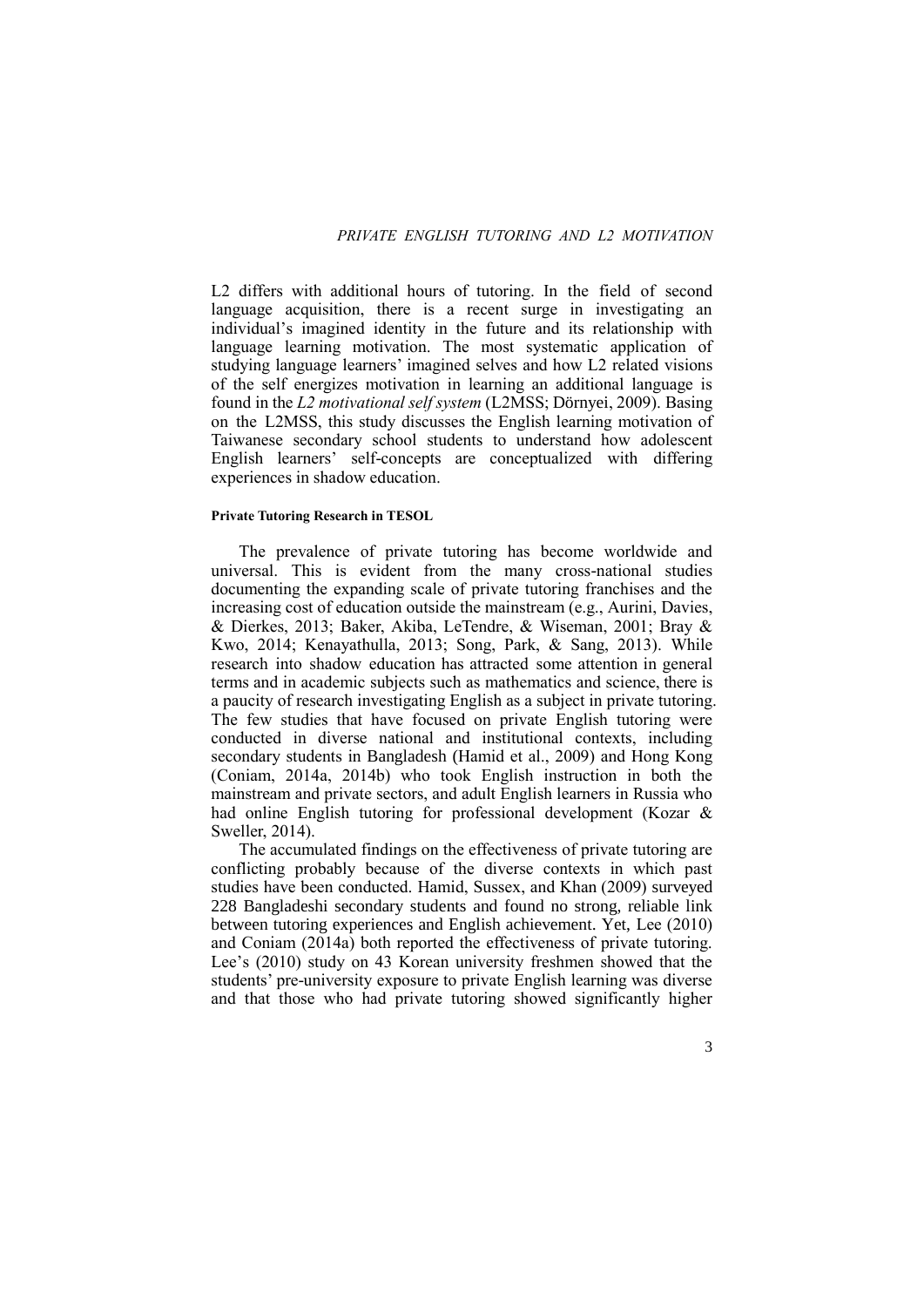L<sub>2</sub> differs with additional hours of tutoring. In the field of second language acquisition, there is a recent surge in investigating an individual's imagined identity in the future and its relationship with language learning motivation. The most systematic application of studying language learners' imagined selves and how L2 related visions of the self energizes motivation in learning an additional language is found in the *L2 motivational self system* (L2MSS; Dörnyei, 2009). Basing on the L2MSS, this study discusses the English learning motivation of Taiwanese secondary school students to understand how adolescent English learners' self-concepts are conceptualized with differing experiences in shadow education.

### **Private Tutoring Research in TESOL**

The prevalence of private tutoring has become worldwide and universal. This is evident from the many cross-national studies documenting the expanding scale of private tutoring franchises and the increasing cost of education outside the mainstream (e.g., Aurini, Davies, & Dierkes, 2013; Baker, Akiba, LeTendre, & Wiseman, 2001; Bray & Kwo, 2014; Kenayathulla, 2013; Song, Park, & Sang, 2013). While research into shadow education has attracted some attention in general terms and in academic subjects such as mathematics and science, there is a paucity of research investigating English as a subject in private tutoring. The few studies that have focused on private English tutoring were conducted in diverse national and institutional contexts, including secondary students in Bangladesh (Hamid et al., 2009) and Hong Kong (Coniam, 2014a, 2014b) who took English instruction in both the mainstream and private sectors, and adult English learners in Russia who had online English tutoring for professional development (Kozar & Sweller, 2014).

The accumulated findings on the effectiveness of private tutoring are conflicting probably because of the diverse contexts in which past studies have been conducted. Hamid, Sussex, and Khan (2009) surveyed 228 Bangladeshi secondary students and found no strong, reliable link between tutoring experiences and English achievement. Yet, Lee (2010) and Coniam (2014a) both reported the effectiveness of private tutoring. Lee's (2010) study on 43 Korean university freshmen showed that the students' pre-university exposure to private English learning was diverse and that those who had private tutoring showed significantly higher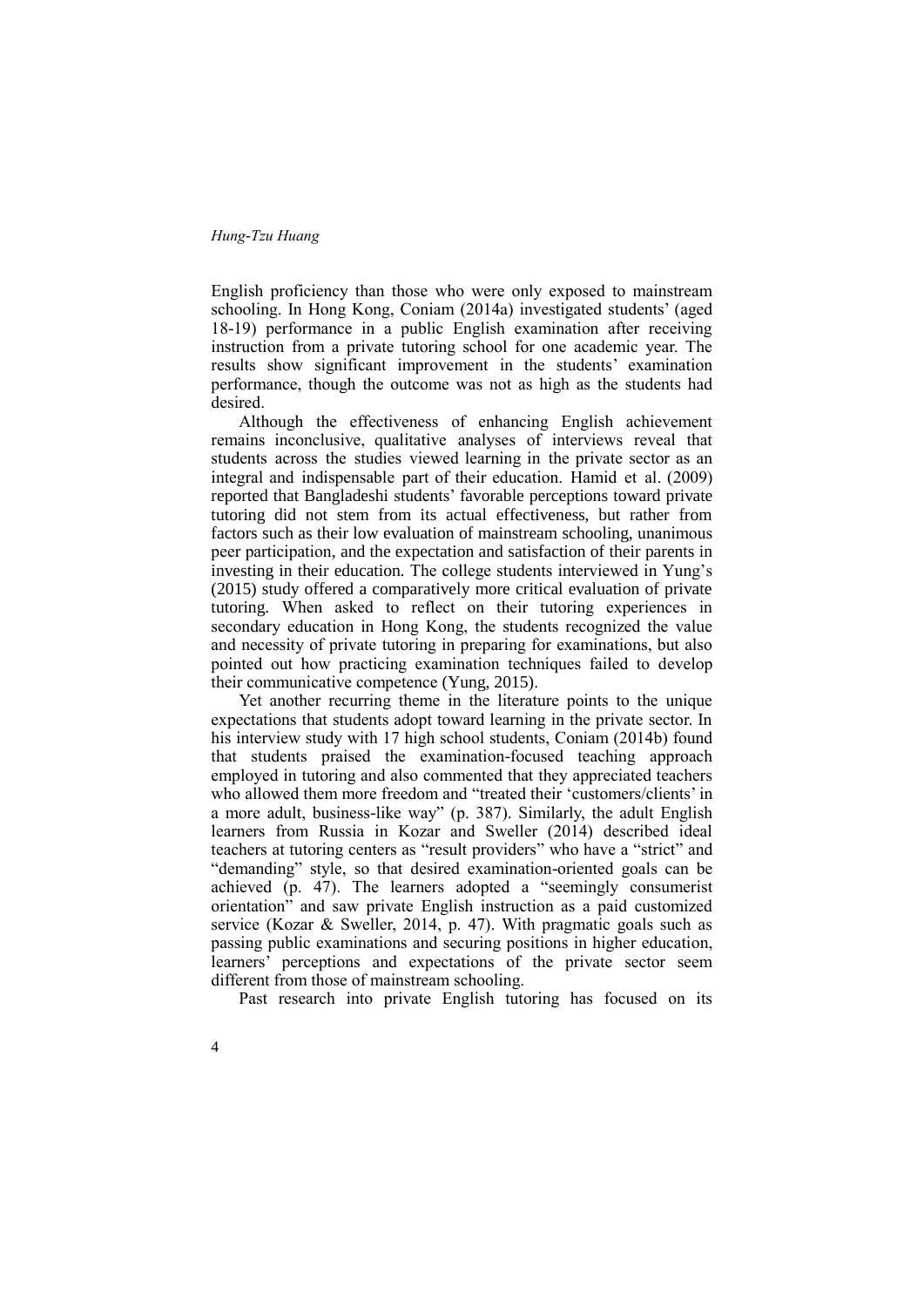English proficiency than those who were only exposed to mainstream schooling. In Hong Kong, Coniam (2014a) investigated students' (aged 18-19) performance in a public English examination after receiving instruction from a private tutoring school for one academic year. The results show significant improvement in the students' examination performance, though the outcome was not as high as the students had desired.

Although the effectiveness of enhancing English achievement remains inconclusive, qualitative analyses of interviews reveal that students across the studies viewed learning in the private sector as an integral and indispensable part of their education. Hamid et al. (2009) reported that Bangladeshi students' favorable perceptions toward private tutoring did not stem from its actual effectiveness, but rather from factors such as their low evaluation of mainstream schooling, unanimous peer participation, and the expectation and satisfaction of their parents in investing in their education. The college students interviewed in Yung's (2015) study offered a comparatively more critical evaluation of private tutoring. When asked to reflect on their tutoring experiences in secondary education in Hong Kong, the students recognized the value and necessity of private tutoring in preparing for examinations, but also pointed out how practicing examination techniques failed to develop their communicative competence (Yung, 2015).

Yet another recurring theme in the literature points to the unique expectations that students adopt toward learning in the private sector. In his interview study with 17 high school students, Coniam (2014b) found that students praised the examination-focused teaching approach employed in tutoring and also commented that they appreciated teachers who allowed them more freedom and "treated their 'customers/clients' in a more adult, business-like way" (p. 387). Similarly, the adult English learners from Russia in Kozar and Sweller (2014) described ideal teachers at tutoring centers as "result providers" who have a "strict" and "demanding" style, so that desired examination-oriented goals can be achieved (p. 47). The learners adopted a "seemingly consumerist orientation" and saw private English instruction as a paid customized service (Kozar & Sweller, 2014, p. 47). With pragmatic goals such as passing public examinations and securing positions in higher education, learners' perceptions and expectations of the private sector seem different from those of mainstream schooling.

Past research into private English tutoring has focused on its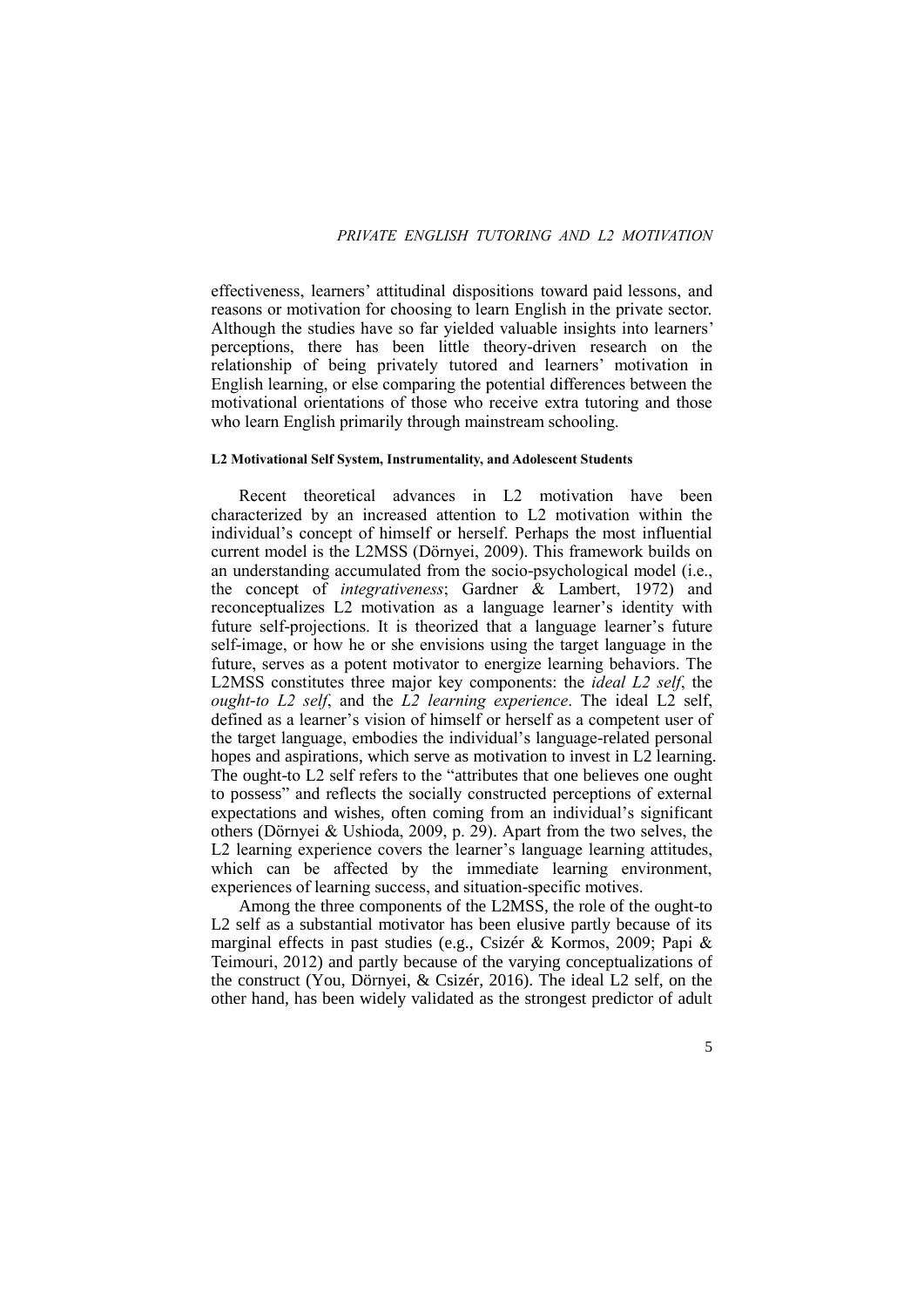effectiveness, learners' attitudinal dispositions toward paid lessons, and reasons or motivation for choosing to learn English in the private sector. Although the studies have so far yielded valuable insights into learners' perceptions, there has been little theory-driven research on the relationship of being privately tutored and learners' motivation in English learning, or else comparing the potential differences between the motivational orientations of those who receive extra tutoring and those who learn English primarily through mainstream schooling.

### **L2 Motivational Self System, Instrumentality, and Adolescent Students**

Recent theoretical advances in L2 motivation have been characterized by an increased attention to L2 motivation within the individual's concept of himself or herself. Perhaps the most influential current model is the L2MSS (Dörnyei, 2009). This framework builds on an understanding accumulated from the socio-psychological model (i.e., the concept of *integrativeness*; Gardner & Lambert, 1972) and reconceptualizes L2 motivation as a language learner's identity with future self-projections. It is theorized that a language learner's future self-image, or how he or she envisions using the target language in the future, serves as a potent motivator to energize learning behaviors. The L2MSS constitutes three major key components: the *ideal L2 self*, the *ought-to L2 self*, and the *L2 learning experience*. The ideal L2 self, defined as a learner's vision of himself or herself as a competent user of the target language, embodies the individual's language-related personal hopes and aspirations, which serve as motivation to invest in L2 learning. The ought-to L2 self refers to the "attributes that one believes one ought to possess" and reflects the socially constructed perceptions of external expectations and wishes, often coming from an individual's significant others (Dörnyei & Ushioda, 2009, p. 29). Apart from the two selves, the L2 learning experience covers the learner's language learning attitudes, which can be affected by the immediate learning environment, experiences of learning success, and situation-specific motives.

Among the three components of the L2MSS, the role of the ought-to L2 self as a substantial motivator has been elusive partly because of its marginal effects in past studies (e.g., Csizér & Kormos, 2009; Papi & Teimouri, 2012) and partly because of the varying conceptualizations of the construct (You, Dörnyei, & Csizér, 2016). The ideal L2 self, on the other hand, has been widely validated as the strongest predictor of adult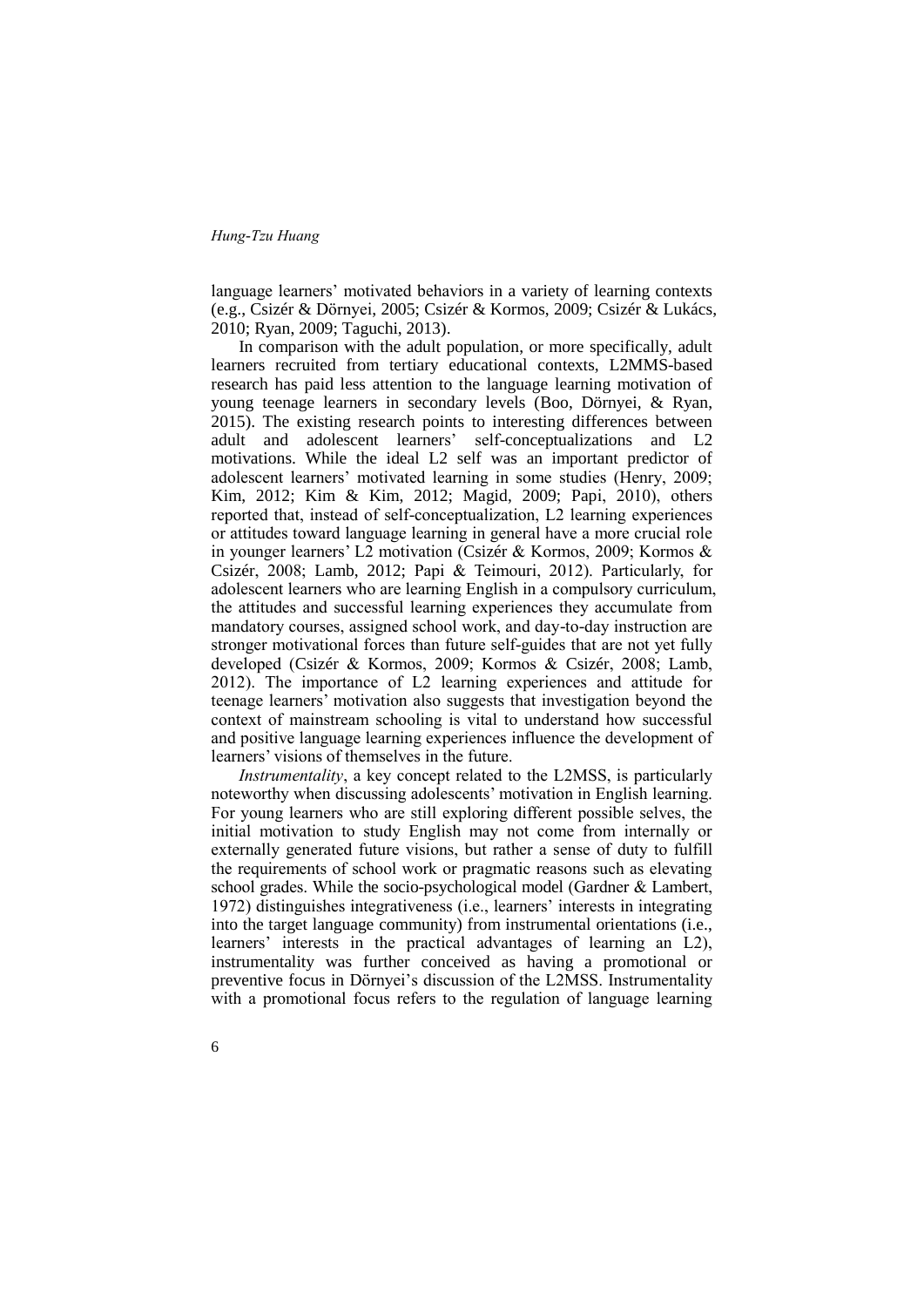language learners' motivated behaviors in a variety of learning contexts (e.g., Csizér & Dörnyei, 2005; Csizér & Kormos, 2009; Csizér & Lukács, 2010; Ryan, 2009; Taguchi, 2013).

In comparison with the adult population, or more specifically, adult learners recruited from tertiary educational contexts, L2MMS-based research has paid less attention to the language learning motivation of young teenage learners in secondary levels (Boo, Dörnyei, & Ryan, 2015). The existing research points to interesting differences between adult and adolescent learners' self-conceptualizations and L2 motivations. While the ideal L2 self was an important predictor of adolescent learners' motivated learning in some studies (Henry, 2009; Kim, 2012; Kim & Kim, 2012; Magid, 2009; Papi, 2010), others reported that, instead of self-conceptualization, L2 learning experiences or attitudes toward language learning in general have a more crucial role in younger learners' L2 motivation (Csizér & Kormos, 2009; Kormos & Csizér, 2008; Lamb, 2012; Papi & Teimouri, 2012). Particularly, for adolescent learners who are learning English in a compulsory curriculum, the attitudes and successful learning experiences they accumulate from mandatory courses, assigned school work, and day-to-day instruction are stronger motivational forces than future self-guides that are not yet fully developed (Csizér & Kormos, 2009; Kormos & Csizér, 2008; Lamb, 2012). The importance of L2 learning experiences and attitude for teenage learners' motivation also suggests that investigation beyond the context of mainstream schooling is vital to understand how successful and positive language learning experiences influence the development of learners' visions of themselves in the future.

*Instrumentality*, a key concept related to the L2MSS, is particularly noteworthy when discussing adolescents' motivation in English learning. For young learners who are still exploring different possible selves, the initial motivation to study English may not come from internally or externally generated future visions, but rather a sense of duty to fulfill the requirements of school work or pragmatic reasons such as elevating school grades. While the socio-psychological model (Gardner & Lambert, 1972) distinguishes integrativeness (i.e., learners' interests in integrating into the target language community) from instrumental orientations (i.e., learners' interests in the practical advantages of learning an L2), instrumentality was further conceived as having a promotional or preventive focus in Dörnyei's discussion of the L2MSS. Instrumentality with a promotional focus refers to the regulation of language learning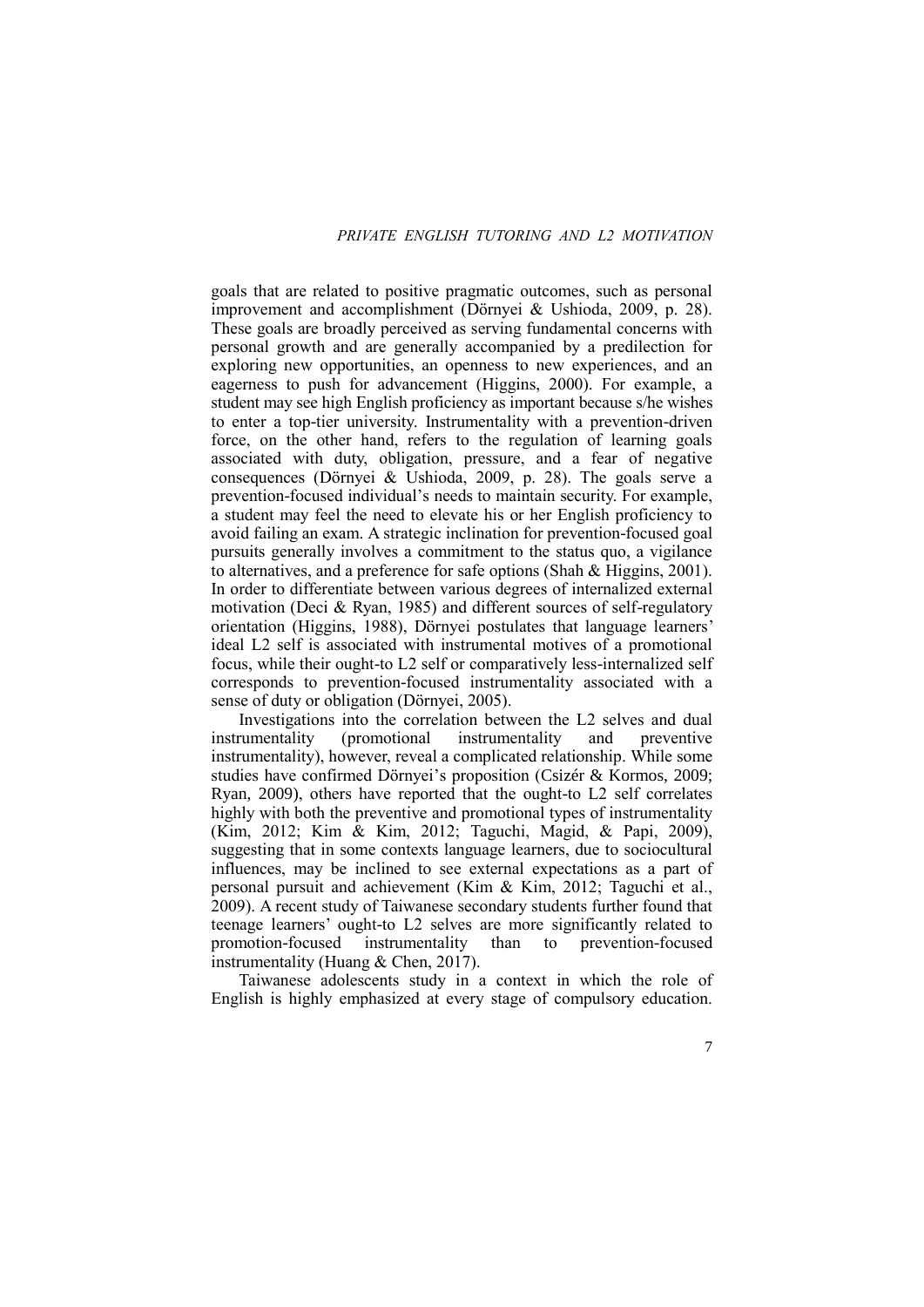goals that are related to positive pragmatic outcomes, such as personal improvement and accomplishment (Dörnyei & Ushioda, 2009, p. 28). These goals are broadly perceived as serving fundamental concerns with personal growth and are generally accompanied by a predilection for exploring new opportunities, an openness to new experiences, and an eagerness to push for advancement (Higgins, 2000). For example, a student may see high English proficiency as important because s/he wishes to enter a top-tier university. Instrumentality with a prevention-driven force, on the other hand, refers to the regulation of learning goals associated with duty, obligation, pressure, and a fear of negative consequences (Dörnyei & Ushioda, 2009, p. 28). The goals serve a prevention-focused individual's needs to maintain security. For example, a student may feel the need to elevate his or her English proficiency to avoid failing an exam. A strategic inclination for prevention-focused goal pursuits generally involves a commitment to the status quo, a vigilance to alternatives, and a preference for safe options (Shah & Higgins, 2001). In order to differentiate between various degrees of internalized external motivation (Deci & Ryan, 1985) and different sources of self-regulatory orientation (Higgins, 1988), Dörnyei postulates that language learners' ideal L2 self is associated with instrumental motives of a promotional focus, while their ought-to L2 self or comparatively less-internalized self corresponds to prevention-focused instrumentality associated with a sense of duty or obligation (Dörnyei, 2005).

Investigations into the correlation between the L2 selves and dual instrumentality (promotional instrumentality and preventive instrumentality), however, reveal a complicated relationship. While some studies have confirmed Dörnyei's proposition (Csizér & Kormos, 2009; Ryan, 2009), others have reported that the ought-to L2 self correlates highly with both the preventive and promotional types of instrumentality (Kim, 2012; Kim & Kim, 2012; Taguchi, Magid, & Papi, 2009), suggesting that in some contexts language learners, due to sociocultural influences, may be inclined to see external expectations as a part of personal pursuit and achievement (Kim & Kim, 2012; Taguchi et al., 2009). A recent study of Taiwanese secondary students further found that teenage learners' ought-to L2 selves are more significantly related to promotion-focused instrumentality than to prevention-focused instrumentality (Huang & Chen, 2017).

Taiwanese adolescents study in a context in which the role of English is highly emphasized at every stage of compulsory education.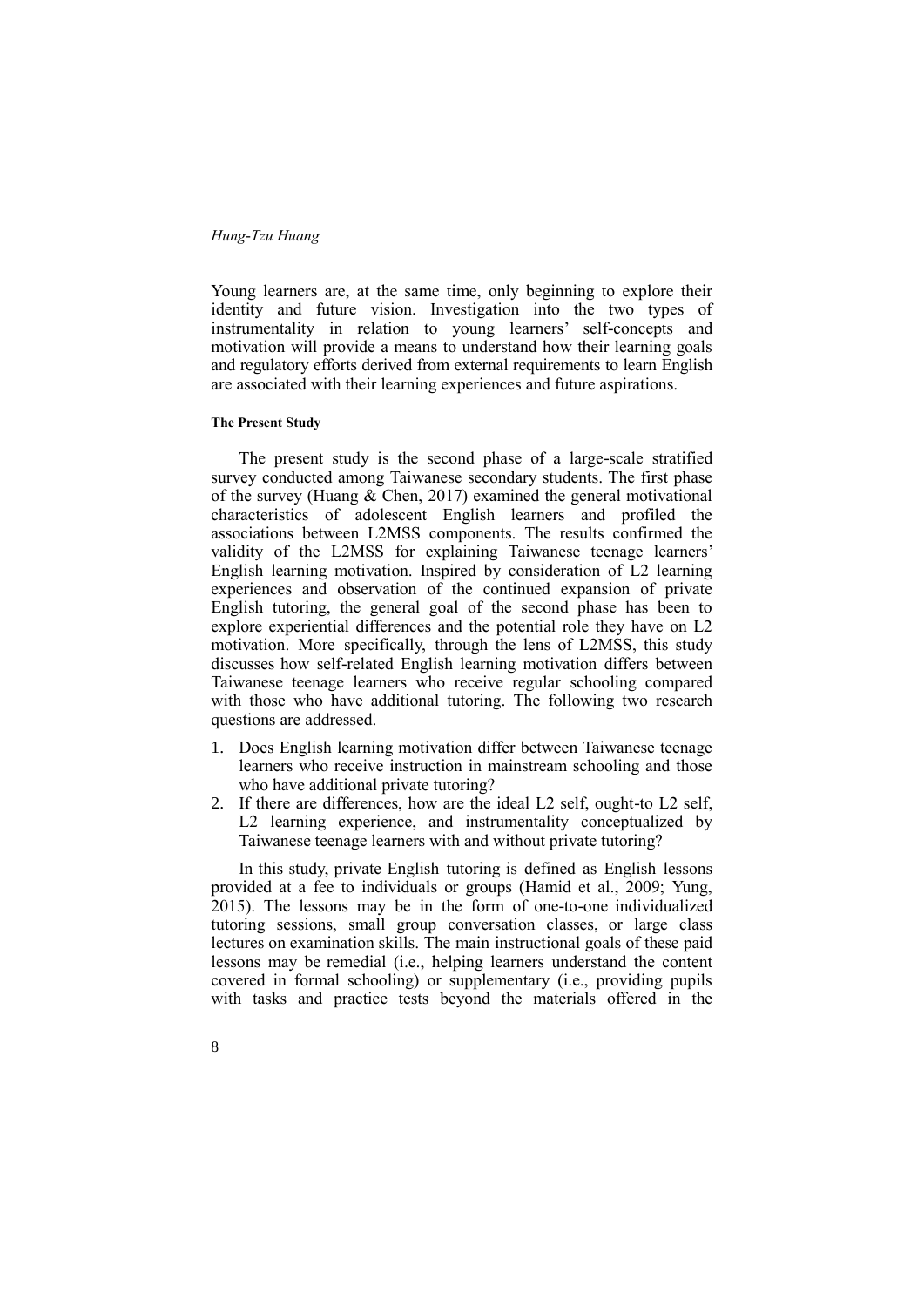Young learners are, at the same time, only beginning to explore their identity and future vision. Investigation into the two types of instrumentality in relation to young learners' self-concepts and motivation will provide a means to understand how their learning goals and regulatory efforts derived from external requirements to learn English are associated with their learning experiences and future aspirations.

### **The Present Study**

8

The present study is the second phase of a large-scale stratified survey conducted among Taiwanese secondary students. The first phase of the survey (Huang  $\&$  Chen, 2017) examined the general motivational characteristics of adolescent English learners and profiled the associations between L2MSS components. The results confirmed the validity of the L2MSS for explaining Taiwanese teenage learners' English learning motivation. Inspired by consideration of L2 learning experiences and observation of the continued expansion of private English tutoring, the general goal of the second phase has been to explore experiential differences and the potential role they have on L2 motivation. More specifically, through the lens of L2MSS, this study discusses how self-related English learning motivation differs between Taiwanese teenage learners who receive regular schooling compared with those who have additional tutoring. The following two research questions are addressed.

- 1. Does English learning motivation differ between Taiwanese teenage learners who receive instruction in mainstream schooling and those who have additional private tutoring?
- 2. If there are differences, how are the ideal L2 self, ought-to L2 self, L2 learning experience, and instrumentality conceptualized by Taiwanese teenage learners with and without private tutoring?

In this study, private English tutoring is defined as English lessons provided at a fee to individuals or groups (Hamid et al., 2009; Yung, 2015). The lessons may be in the form of one-to-one individualized tutoring sessions, small group conversation classes, or large class lectures on examination skills. The main instructional goals of these paid lessons may be remedial (i.e., helping learners understand the content covered in formal schooling) or supplementary (i.e., providing pupils with tasks and practice tests beyond the materials offered in the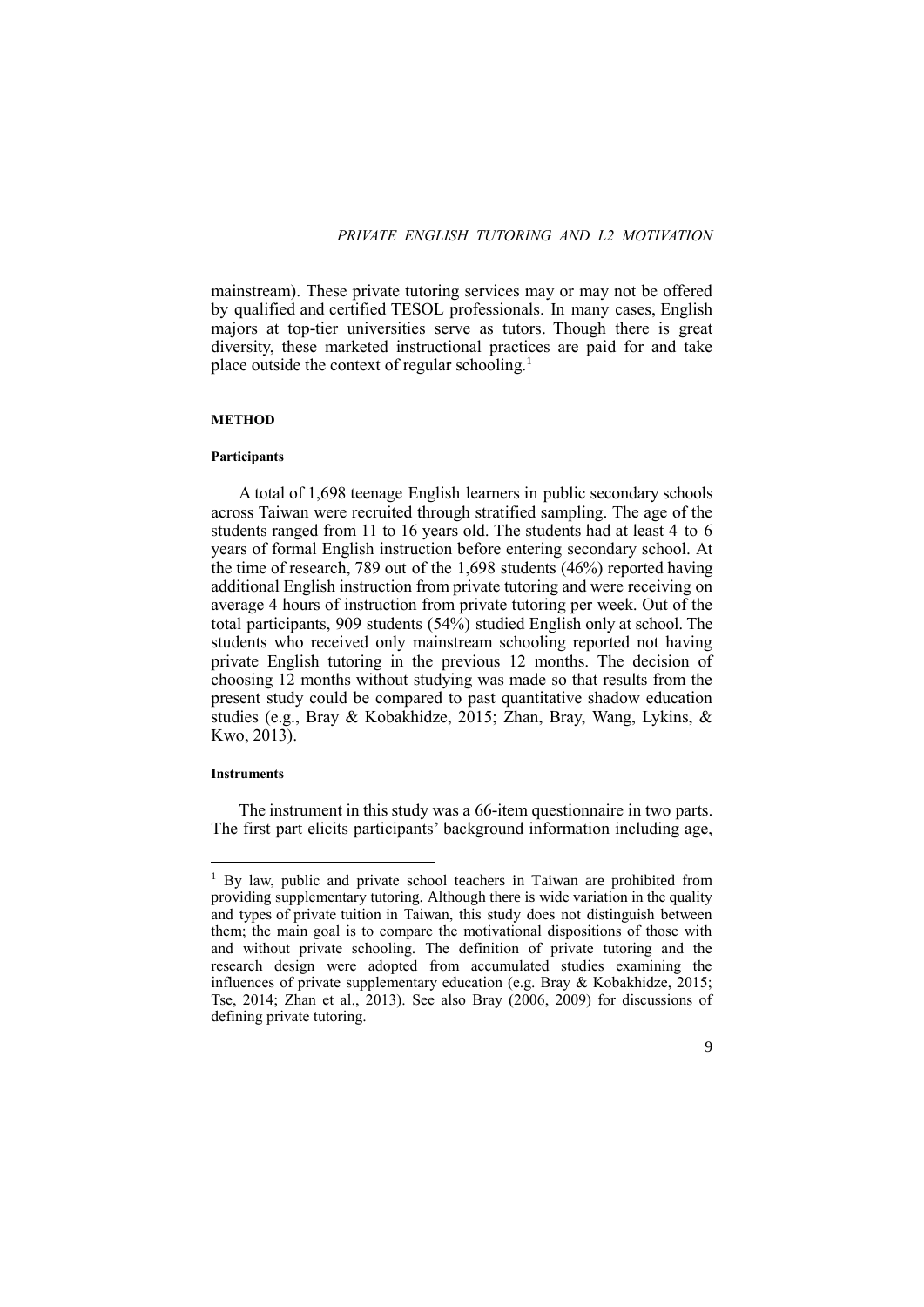mainstream). These private tutoring services may or may not be offered by qualified and certified TESOL professionals. In many cases, English majors at top-tier universities serve as tutors. Though there is great diversity, these marketed instructional practices are paid for and take place outside the context of regular schooling.<sup>1</sup>

## **METHOD**

#### **Participants**

A total of 1,698 teenage English learners in public secondary schools across Taiwan were recruited through stratified sampling. The age of the students ranged from 11 to 16 years old. The students had at least 4 to 6 years of formal English instruction before entering secondary school. At the time of research, 789 out of the 1,698 students (46%) reported having additional English instruction from private tutoring and were receiving on average 4 hours of instruction from private tutoring per week. Out of the total participants, 909 students (54%) studied English only at school. The students who received only mainstream schooling reported not having private English tutoring in the previous 12 months. The decision of choosing 12 months without studying was made so that results from the present study could be compared to past quantitative shadow education studies (e.g., Bray & Kobakhidze, 2015; Zhan, Bray, Wang, Lykins, & Kwo, 2013).

#### **Instruments**

**.** 

The instrument in this study was a 66-item questionnaire in two parts. The first part elicits participants' background information including age,

<sup>&</sup>lt;sup>1</sup> By law, public and private school teachers in Taiwan are prohibited from providing supplementary tutoring. Although there is wide variation in the quality and types of private tuition in Taiwan, this study does not distinguish between them; the main goal is to compare the motivational dispositions of those with and without private schooling. The definition of private tutoring and the research design were adopted from accumulated studies examining the influences of private supplementary education (e.g. Bray & Kobakhidze, 2015; Tse, 2014; Zhan et al., 2013). See also Bray (2006, 2009) for discussions of defining private tutoring.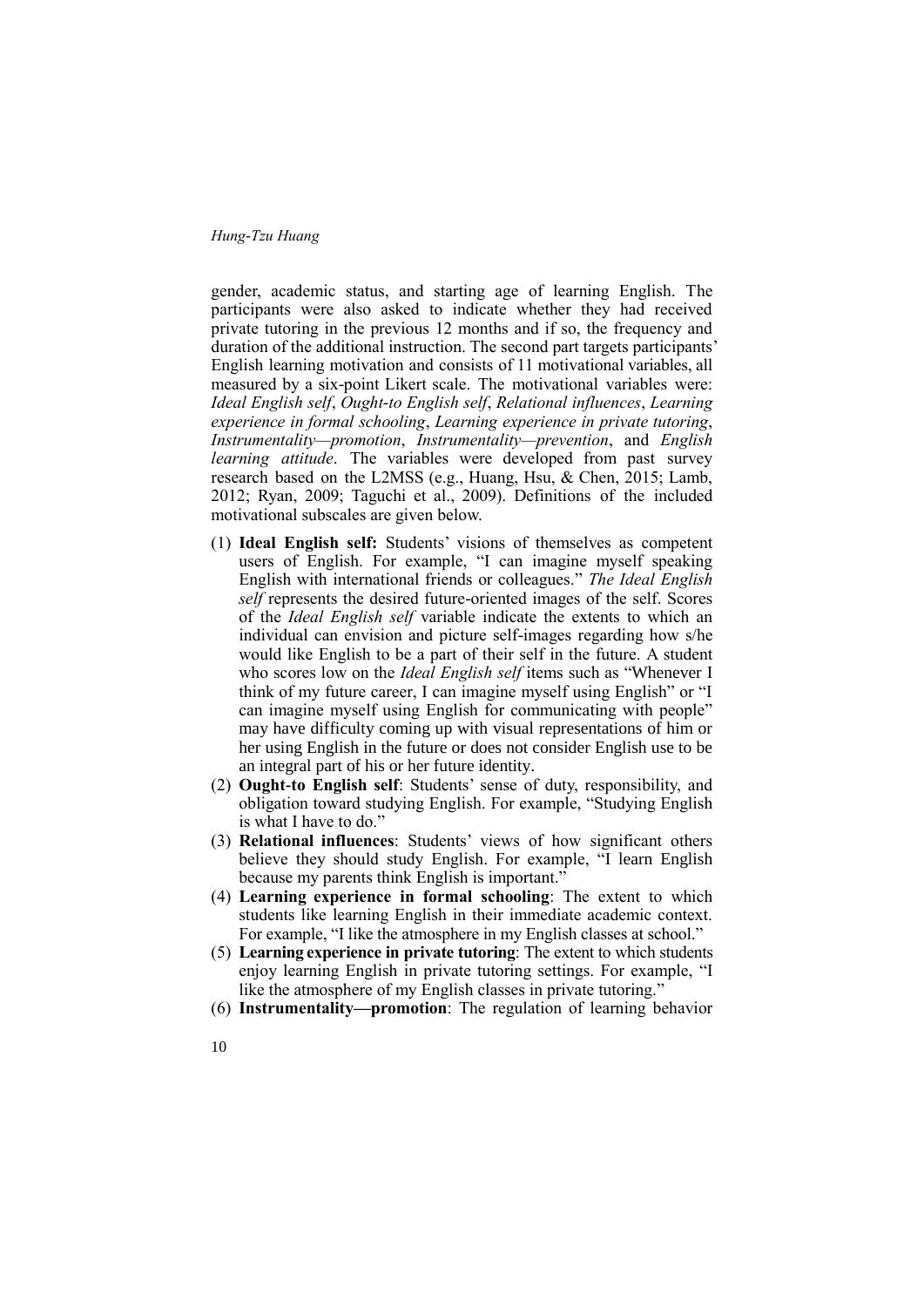gender, academic status, and starting age of learning English. The participants were also asked to indicate whether they had received private tutoring in the previous 12 months and if so, the frequency and duration of the additional instruction. The second part targets participants' English learning motivation and consists of 11 motivational variables, all measured by a six-point Likert scale. The motivational variables were: *Ideal English self*, *Ought-to English self*, *Relational influences*, *Learning experience in formal schooling*, *Learning experience in private tutoring*, *Instrumentality—promotion*, *Instrumentality—prevention*, and *English learning attitude*. The variables were developed from past survey research based on the L2MSS (e.g., Huang, Hsu, & Chen, 2015; Lamb, 2012; Ryan, 2009; Taguchi et al., 2009). Definitions of the included motivational subscales are given below.

- (1) **Ideal English self:** Students' visions of themselves as competent users of English. For example, "I can imagine myself speaking English with international friends or colleagues." *The Ideal English self* represents the desired future-oriented images of the self. Scores of the *Ideal English self* variable indicate the extents to which an individual can envision and picture self-images regarding how s/he would like English to be a part of their self in the future. A student who scores low on the *Ideal English self* items such as "Whenever I think of my future career, I can imagine myself using English" or "I can imagine myself using English for communicating with people" may have difficulty coming up with visual representations of him or her using English in the future or does not consider English use to be an integral part of his or her future identity.
- (2) **Ought-to English self**: Students' sense of duty, responsibility, and obligation toward studying English. For example, "Studying English is what I have to do."
- (3) **Relational influences**: Students' views of how significant others believe they should study English. For example, "I learn English because my parents think English is important."
- (4) **Learning experience in formal schooling**: The extent to which students like learning English in their immediate academic context. For example, "I like the atmosphere in my English classes at school."
- (5) **Learning experience in private tutoring**: The extent to which students enjoy learning English in private tutoring settings. For example, "I like the atmosphere of my English classes in private tutoring."
- (6) **Instrumentality—promotion**: The regulation of learning behavior
- 10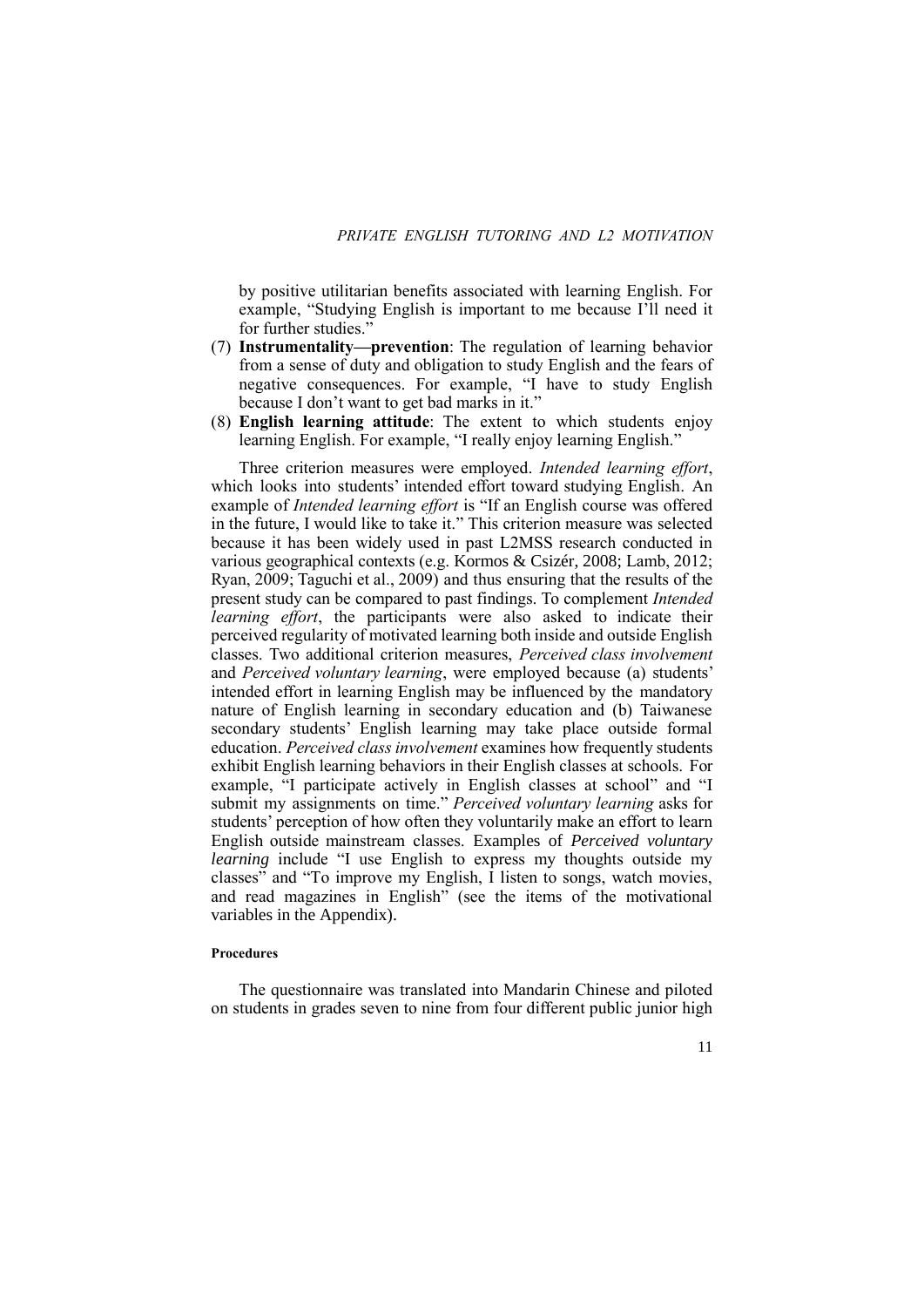by positive utilitarian benefits associated with learning English. For example, "Studying English is important to me because I'll need it for further studies.'

- (7) **Instrumentality—prevention**: The regulation of learning behavior from a sense of duty and obligation to study English and the fears of negative consequences. For example, "I have to study English because I don't want to get bad marks in it."
- (8) **English learning attitude**: The extent to which students enjoy learning English. For example, "I really enjoy learning English."

Three criterion measures were employed. *Intended learning effort*, which looks into students' intended effort toward studying English. An example of *Intended learning effort* is "If an English course was offered in the future, I would like to take it." This criterion measure was selected because it has been widely used in past L2MSS research conducted in various geographical contexts (e.g. Kormos & Csizér, 2008; Lamb, 2012; Ryan, 2009; Taguchi et al., 2009) and thus ensuring that the results of the present study can be compared to past findings. To complement *Intended learning effort*, the participants were also asked to indicate their perceived regularity of motivated learning both inside and outside English classes. Two additional criterion measures, *Perceived class involvement* and *Perceived voluntary learning*, were employed because (a) students' intended effort in learning English may be influenced by the mandatory nature of English learning in secondary education and (b) Taiwanese secondary students' English learning may take place outside formal education. *Perceived class involvement* examines how frequently students exhibit English learning behaviors in their English classes at schools. For example, "I participate actively in English classes at school" and "I submit my assignments on time." *Perceived voluntary learning* asks for students' perception of how often they voluntarily make an effort to learn English outside mainstream classes. Examples of *Perceived voluntary learning* include "I use English to express my thoughts outside my classes" and "To improve my English, I listen to songs, watch movies, and read magazines in English" (see the items of the motivational variables in the Appendix).

### **Procedures**

The questionnaire was translated into Mandarin Chinese and piloted on students in grades seven to nine from four different public junior high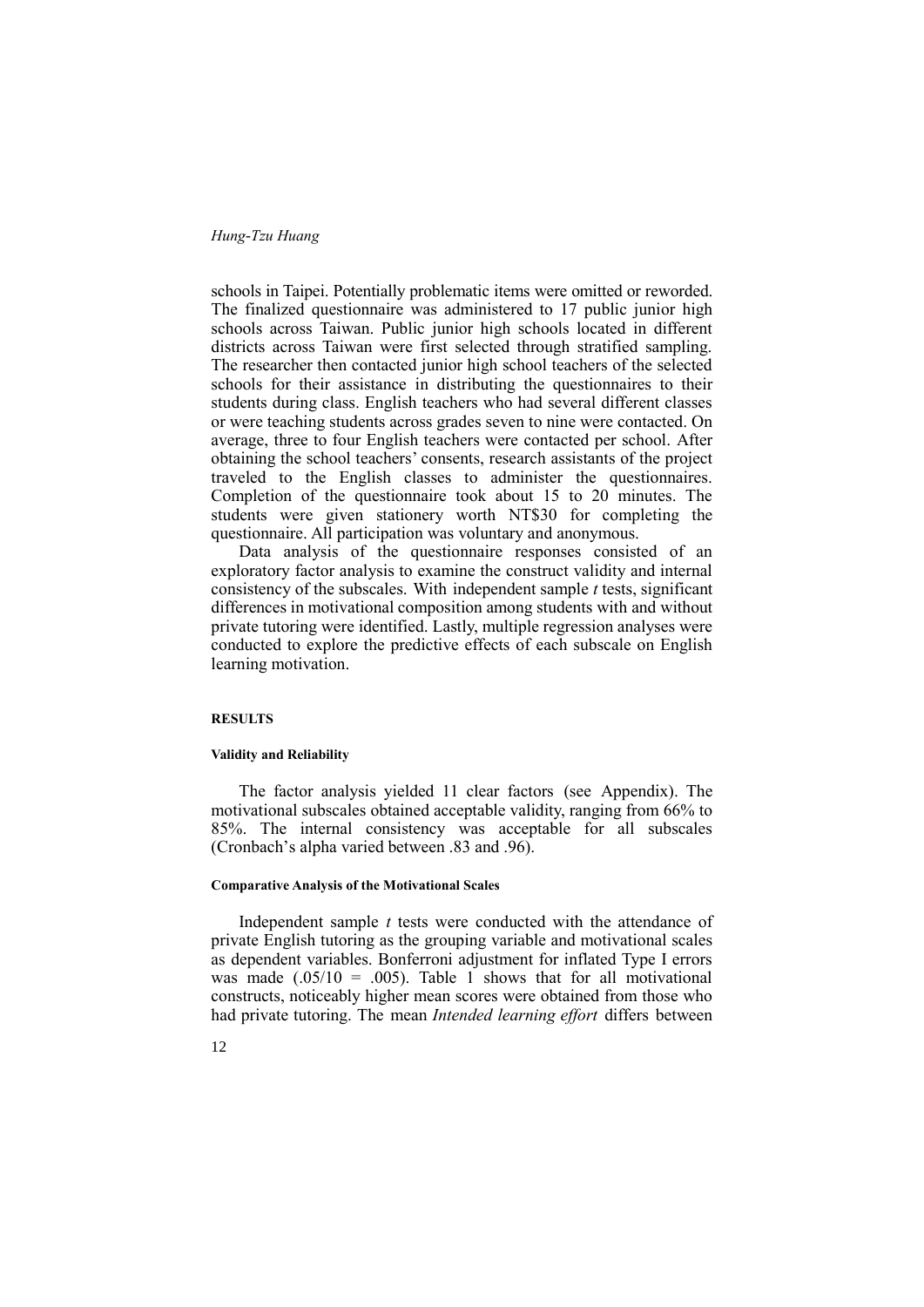schools in Taipei. Potentially problematic items were omitted or reworded. The finalized questionnaire was administered to 17 public junior high schools across Taiwan. Public junior high schools located in different districts across Taiwan were first selected through stratified sampling. The researcher then contacted junior high school teachers of the selected schools for their assistance in distributing the questionnaires to their students during class. English teachers who had several different classes or were teaching students across grades seven to nine were contacted. On average, three to four English teachers were contacted per school. After obtaining the school teachers' consents, research assistants of the project traveled to the English classes to administer the questionnaires. Completion of the questionnaire took about 15 to 20 minutes. The students were given stationery worth NT\$30 for completing the questionnaire. All participation was voluntary and anonymous.

Data analysis of the questionnaire responses consisted of an exploratory factor analysis to examine the construct validity and internal consistency of the subscales. With independent sample *t* tests, significant differences in motivational composition among students with and without private tutoring were identified. Lastly, multiple regression analyses were conducted to explore the predictive effects of each subscale on English learning motivation.

#### **RESULTS**

### **Validity and Reliability**

The factor analysis yielded 11 clear factors (see Appendix). The motivational subscales obtained acceptable validity, ranging from 66% to 85%. The internal consistency was acceptable for all subscales (Cronbach's alpha varied between .83 and .96).

#### **Comparative Analysis of the Motivational Scales**

Independent sample *t* tests were conducted with the attendance of private English tutoring as the grouping variable and motivational scales as dependent variables. Bonferroni adjustment for inflated Type I errors was made  $(.05/10 = .005)$ . Table 1 shows that for all motivational constructs, noticeably higher mean scores were obtained from those who had private tutoring. The mean *Intended learning effort* differs between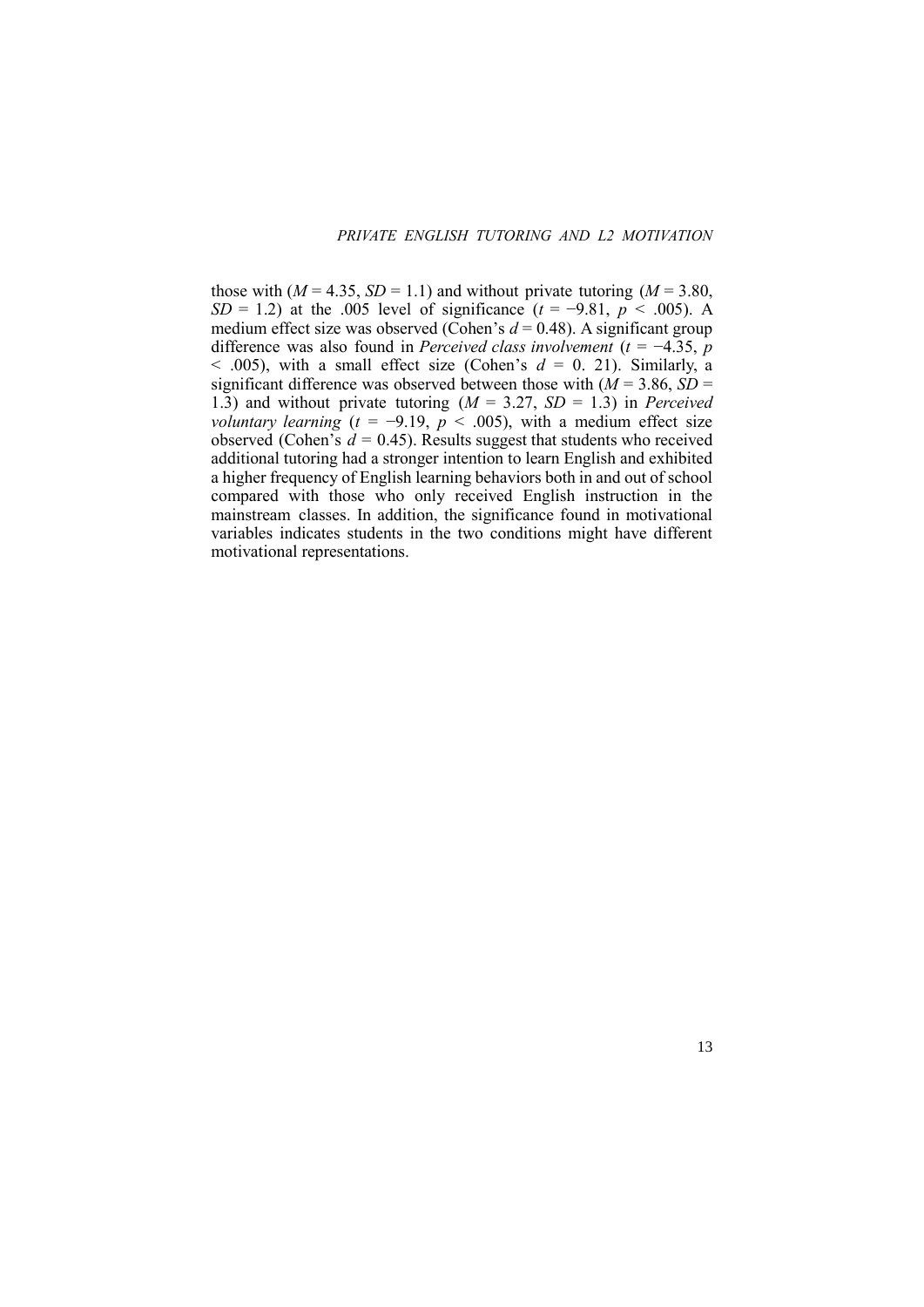13

those with  $(M = 4.35, SD = 1.1)$  and without private tutoring  $(M = 3.80,$ *SD* = 1.2) at the .005 level of significance ( $t = -9.81$ ,  $p < .005$ ). A medium effect size was observed (Cohen's  $d = 0.48$ ). A significant group difference was also found in *Perceived class involvement* (*t* = −4.35, *p*  $<$  0.005), with a small effect size (Cohen's  $d = 0$ , 21). Similarly, a significant difference was observed between those with  $(M = 3.86, SD =$ 1.3) and without private tutoring  $(M = 3.27, SD = 1.3)$  in *Perceived voluntary learning*  $(t = -9.19, p < .005)$ , with a medium effect size observed (Cohen's  $d = 0.45$ ). Results suggest that students who received additional tutoring had a stronger intention to learn English and exhibited a higher frequency of English learning behaviors both in and out of school compared with those who only received English instruction in the mainstream classes. In addition, the significance found in motivational variables indicates students in the two conditions might have different motivational representations.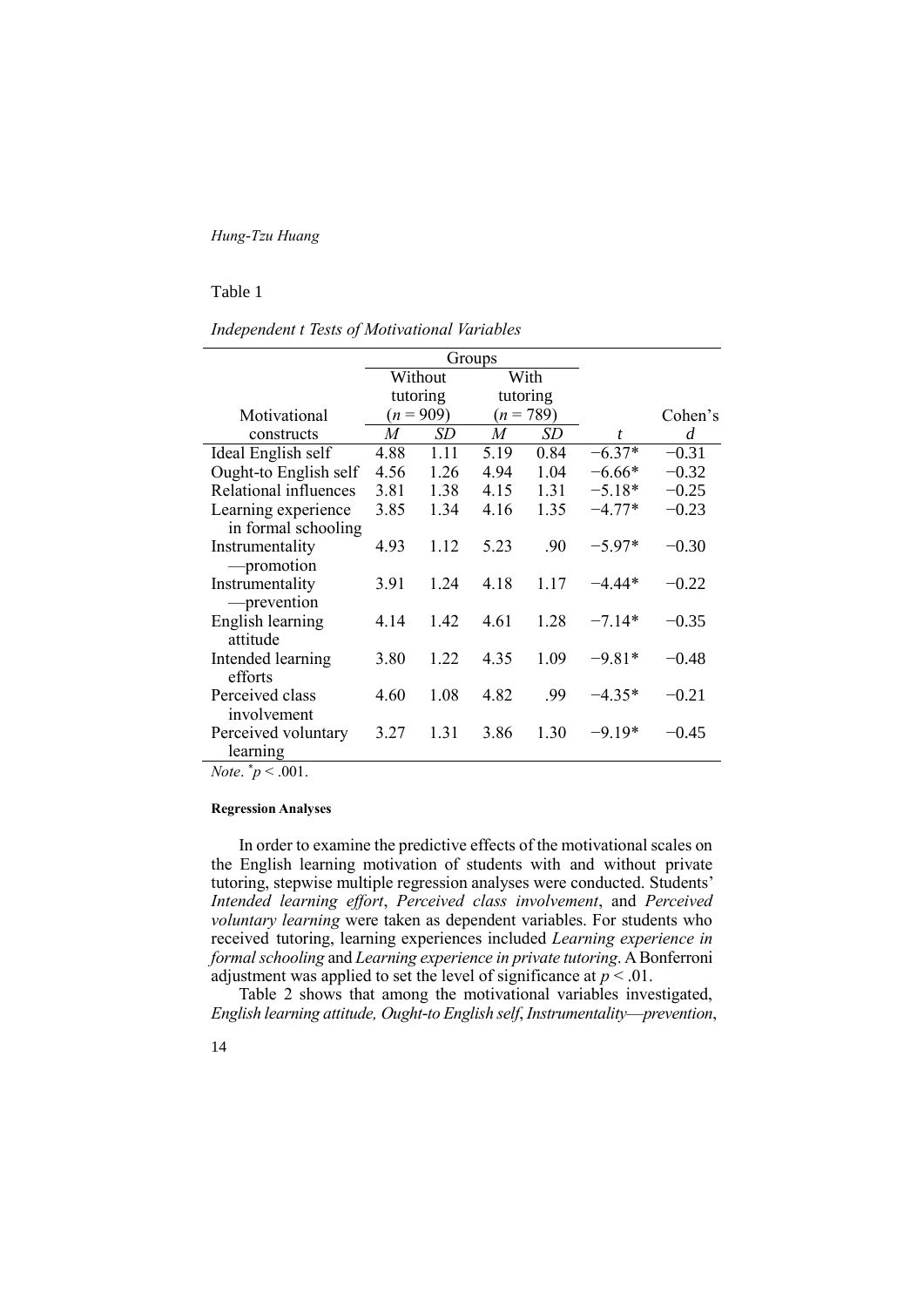### Table 1

*Independent t Tests of Motivational Variables*

|                       |      | Groups      |      |             |                  |         |
|-----------------------|------|-------------|------|-------------|------------------|---------|
|                       |      | Without     |      | With        |                  |         |
|                       |      | tutoring    |      | tutoring    |                  |         |
| Motivational          |      | $(n = 909)$ |      | $(n = 789)$ |                  | Cohen's |
| constructs            | M    | SD          | M    | SD          | $\boldsymbol{t}$ | d       |
| Ideal English self    | 4.88 | 1.11        | 5.19 | 0.84        | $-6.37*$         | $-0.31$ |
| Ought-to English self | 4.56 | 1.26        | 4.94 | 1.04        | $-6.66*$         | $-0.32$ |
| Relational influences | 3.81 | 1.38        | 4.15 | 1.31        | $-5.18*$         | $-0.25$ |
| Learning experience   | 3.85 | 1.34        | 4.16 | 1.35        | $-4.77*$         | $-0.23$ |
| in formal schooling   |      |             |      |             |                  |         |
| Instrumentality       | 4.93 | 1.12        | 5.23 | .90         | $-5.97*$         | $-0.30$ |
| -promotion            |      |             |      |             |                  |         |
| Instrumentality       | 3.91 | 1.24        | 4.18 | 1.17        | -4 44*           | $-0.22$ |
| -prevention           |      |             |      |             |                  |         |
| English learning      | 4.14 | 1.42        | 4.61 | 1.28        | $-7.14*$         | $-0.35$ |
| attitude              |      |             |      |             |                  |         |
| Intended learning     | 3.80 | 1.22        | 4.35 | 1.09        | $-9.81*$         | $-0.48$ |
| efforts               |      |             |      |             |                  |         |
| Perceived class       | 4.60 | 1.08        | 4.82 | .99         | $-4.35*$         | $-0.21$ |
| involvement           |      |             |      |             |                  |         |
| Perceived voluntary   | 3.27 | 1.31        | 3.86 | 1.30        | $-9.19*$         | $-0.45$ |
| learning              |      |             |      |             |                  |         |

*Note.*  $\frac{*}{p}$  < .001.

### **Regression Analyses**

In order to examine the predictive effects of the motivational scales on the English learning motivation of students with and without private tutoring, stepwise multiple regression analyses were conducted. Students' *Intended learning effort*, *Perceived class involvement*, and *Perceived voluntary learning* were taken as dependent variables. For students who received tutoring, learning experiences included *Learning experience in formal schooling* and *Learning experience in private tutoring*. A Bonferroni adjustment was applied to set the level of significance at  $p < 0.01$ .

Table 2 shows that among the motivational variables investigated, *English learning attitude, Ought-to English self*, *Instrumentality*—*prevention*,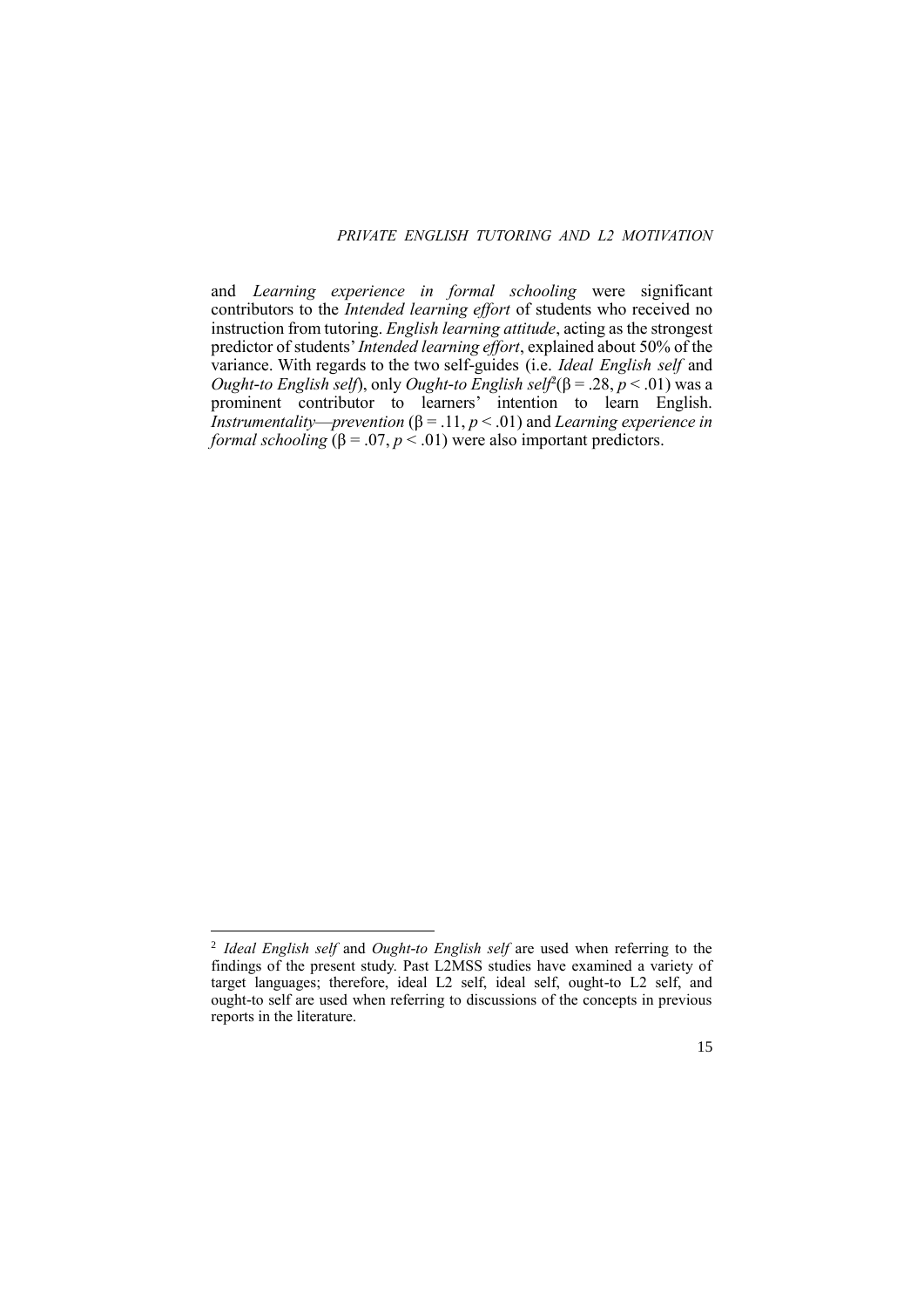# *PRIVATE ENGLISH TUTORING AND L2 MOTIVATION*

and *Learning experience in formal schooling* were significant contributors to the *Intended learning effort* of students who received no instruction from tutoring. *English learning attitude*, acting as the strongest predictor of students' *Intended learning effort*, explained about 50% of the variance. With regards to the two self-guides (i.e. *Ideal English self* and *Ought-to English self*), only *Ought-to English self<sup>2</sup>*( $β = .28, p < .01$ ) was a prominent contributor to learners' intention to learn English. *Instrumentality—prevention* ( $\beta$  = .11,  $p$  < .01) and *Learning experience in formal schooling*  $(\beta = .07, p < .01)$  were also important predictors.

**.** 

<sup>2</sup> *Ideal English self* and *Ought-to English self* are used when referring to the findings of the present study. Past L2MSS studies have examined a variety of target languages; therefore, ideal L2 self, ideal self, ought-to L2 self, and ought-to self are used when referring to discussions of the concepts in previous reports in the literature.

<sup>15</sup>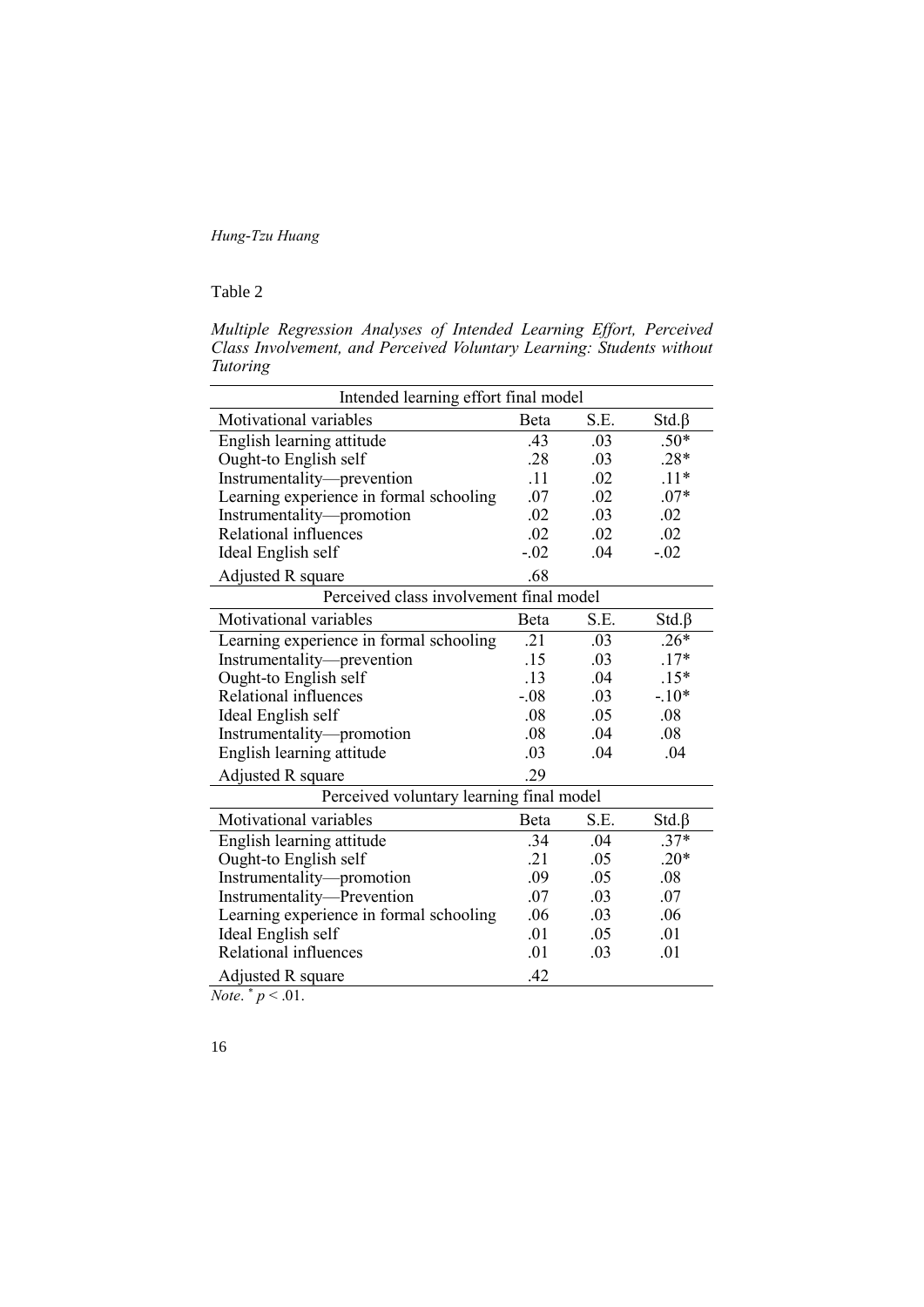# Table 2

*Multiple Regression Analyses of Intended Learning Effort, Perceived Class Involvement, and Perceived Voluntary Learning: Students without Tutoring*

| Intended learning effort final model     |         |      |             |  |  |
|------------------------------------------|---------|------|-------------|--|--|
| Motivational variables                   | Beta    | S.E. | $Std.\beta$ |  |  |
| English learning attitude                | .43     | .03  | $.50*$      |  |  |
| Ought-to English self                    | .28     | .03  | $.28*$      |  |  |
| Instrumentality-prevention               | .11     | .02  | $.11*$      |  |  |
| Learning experience in formal schooling  | .07     | .02  | $.07*$      |  |  |
| Instrumentality-promotion                | .02     | .03  | .02         |  |  |
| Relational influences                    | .02     | .02  | .02         |  |  |
| Ideal English self                       | $-.02$  | .04  | $-.02$      |  |  |
| Adjusted R square                        | .68     |      |             |  |  |
| Perceived class involvement final model  |         |      |             |  |  |
| Motivational variables                   | Beta    | S.E. | $Std.\beta$ |  |  |
| Learning experience in formal schooling  | .21     | .03  | $.26*$      |  |  |
| Instrumentality-prevention               | .15     | .03  | $.17*$      |  |  |
| Ought-to English self                    | .13     | .04  | $.15*$      |  |  |
| Relational influences                    | $-0.08$ | .03  | $-.10*$     |  |  |
| Ideal English self                       | .08     | .05  | .08         |  |  |
| Instrumentality-promotion                | .08     | .04  | .08         |  |  |
| English learning attitude                | .03     | .04  | .04         |  |  |
| Adjusted R square                        | .29     |      |             |  |  |
| Perceived voluntary learning final model |         |      |             |  |  |
| Motivational variables                   | Beta    | S.E. | $Std.\beta$ |  |  |
| English learning attitude                | .34     | .04  | $.37*$      |  |  |
| Ought-to English self                    | .21     | .05  | $.20*$      |  |  |
| Instrumentality-promotion                | .09     | .05  | .08         |  |  |
| Instrumentality-Prevention               | .07     | .03  | .07         |  |  |
| Learning experience in formal schooling  | .06     | .03  | .06         |  |  |
| Ideal English self                       | .01     | .05  | .01         |  |  |
| Relational influences                    | .01     | .03  | .01         |  |  |
| Adjusted R square                        | .42     |      |             |  |  |

*Note.*  $* p < .01$ .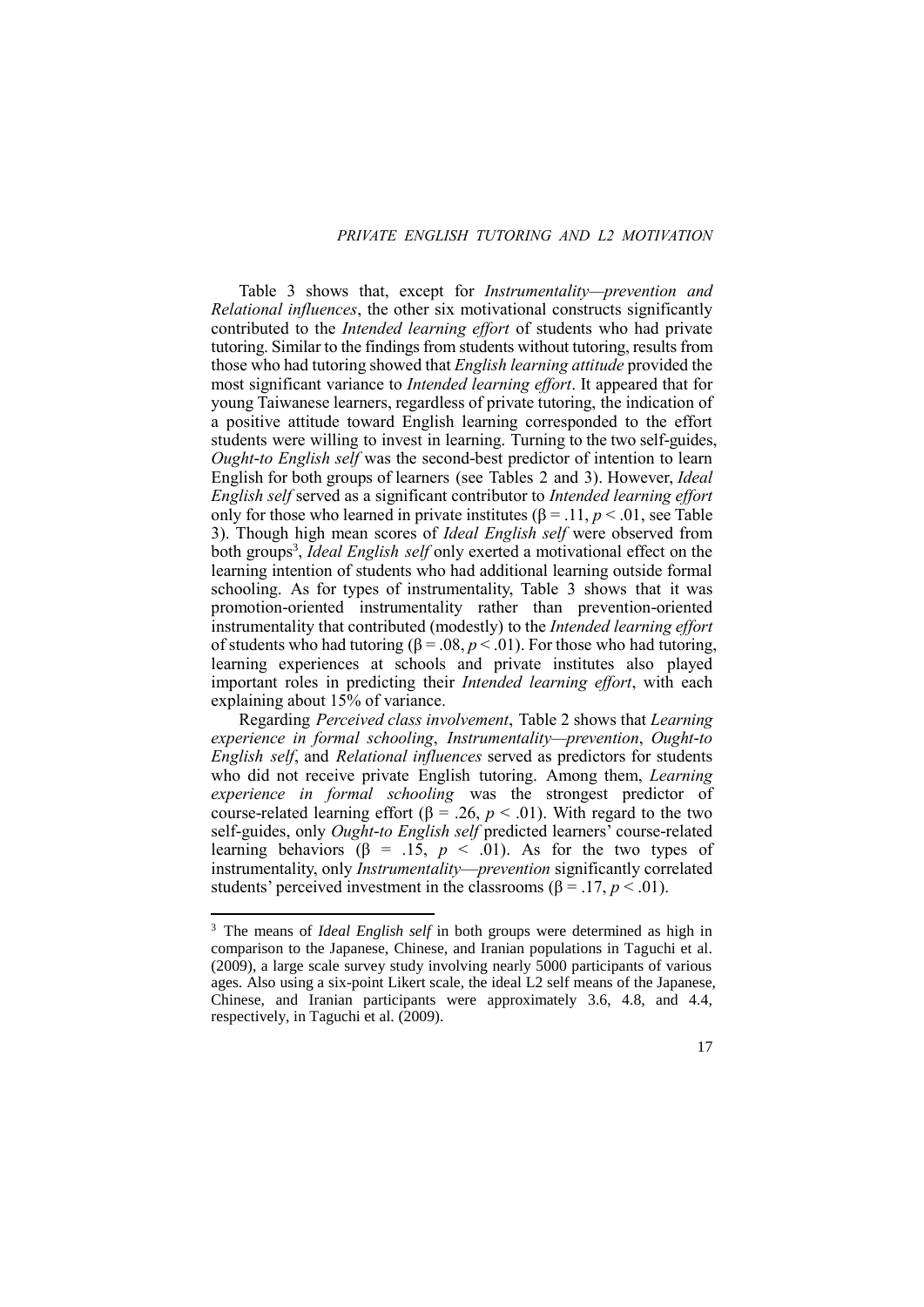# *PRIVATE ENGLISH TUTORING AND L2 MOTIVATION*

Table 3 shows that, except for *Instrumentality—prevention and Relational influences*, the other six motivational constructs significantly contributed to the *Intended learning effort* of students who had private tutoring. Similar to the findings from students without tutoring, results from those who had tutoring showed that *English learning attitude* provided the most significant variance to *Intended learning effort*. It appeared that for young Taiwanese learners, regardless of private tutoring, the indication of a positive attitude toward English learning corresponded to the effort students were willing to invest in learning. Turning to the two self-guides, *Ought-to English self* was the second-best predictor of intention to learn English for both groups of learners (see Tables 2 and 3). However, *Ideal English self* served as a significant contributor to *Intended learning effort* only for those who learned in private institutes ( $\beta$  = .11,  $p$  < .01, see Table 3). Though high mean scores of *Ideal English self* were observed from both groups<sup>3</sup>, *Ideal English self* only exerted a motivational effect on the learning intention of students who had additional learning outside formal schooling. As for types of instrumentality, Table 3 shows that it was promotion-oriented instrumentality rather than prevention-oriented instrumentality that contributed (modestly) to the *Intended learning effort* of students who had tutoring ( $\beta$  = .08,  $p$  < .01). For those who had tutoring, learning experiences at schools and private institutes also played important roles in predicting their *Intended learning effort*, with each explaining about 15% of variance.

Regarding *Perceived class involvement*, Table 2 shows that *Learning experience in formal schooling*, *Instrumentality—prevention*, *Ought-to English self*, and *Relational influences* served as predictors for students who did not receive private English tutoring. Among them, *Learning experience in formal schooling* was the strongest predictor of course-related learning effort ( $β = .26, p < .01$ ). With regard to the two self-guides, only *Ought-to English self* predicted learners' course-related learning behaviors ( $\beta$  = .15,  $p \leq .01$ ). As for the two types of instrumentality, only *Instrumentality*—*prevention* significantly correlated students' perceived investment in the classrooms ( $\beta$  = .17, *p* < .01).

**.** 

<sup>3</sup> The means of *Ideal English self* in both groups were determined as high in comparison to the Japanese, Chinese, and Iranian populations in Taguchi et al. (2009), a large scale survey study involving nearly 5000 participants of various ages. Also using a six-point Likert scale, the ideal L2 self means of the Japanese, Chinese, and Iranian participants were approximately 3.6, 4.8, and 4.4, respectively, in Taguchi et al. (2009).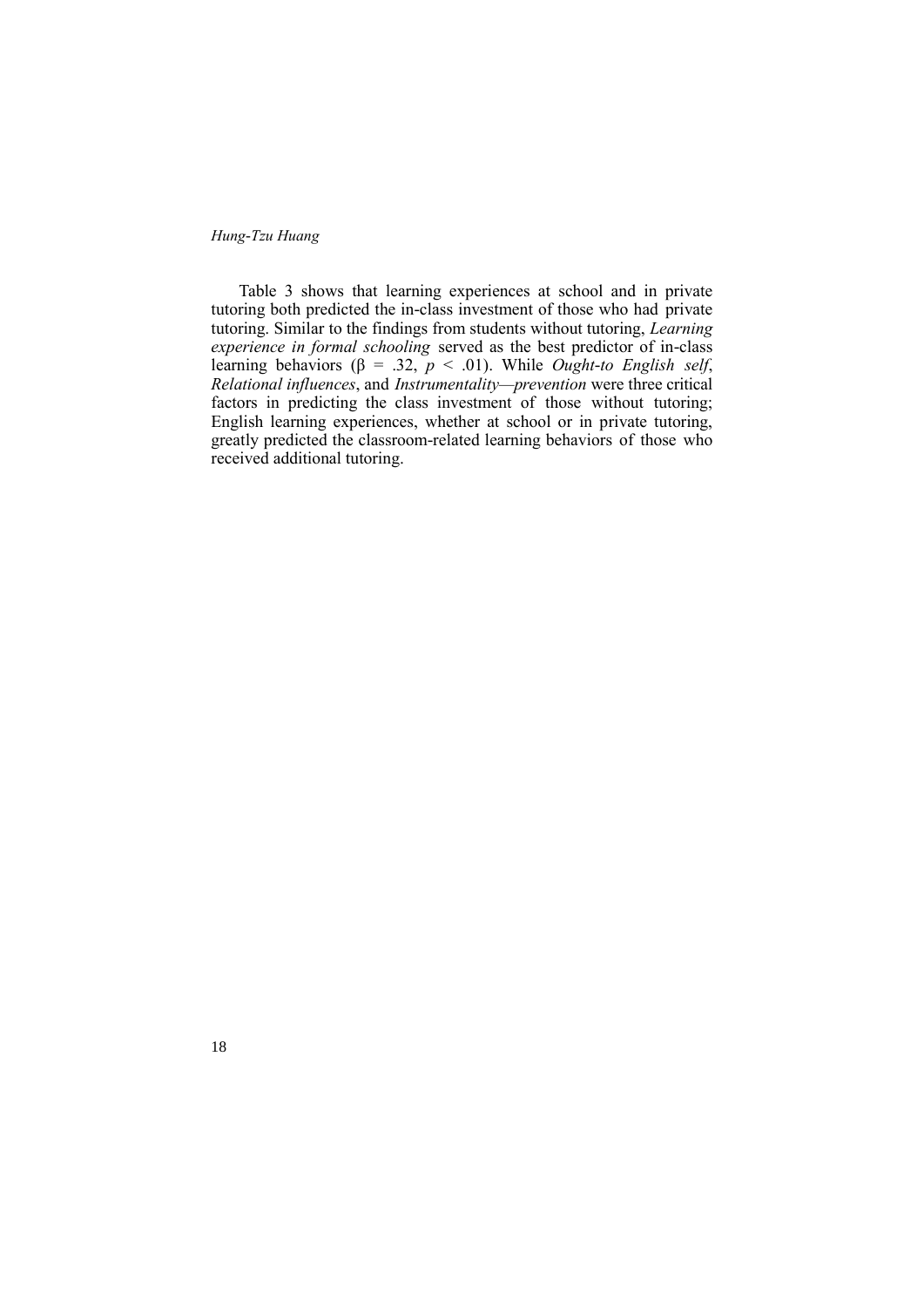18

Table 3 shows that learning experiences at school and in private tutoring both predicted the in-class investment of those who had private tutoring. Similar to the findings from students without tutoring, *Learning experience in formal schooling* served as the best predictor of in-class learning behaviors ( $\beta = .32$ ,  $p < .01$ ). While *Ought-to English self*, *Relational influences*, and *Instrumentality—prevention* were three critical factors in predicting the class investment of those without tutoring; English learning experiences, whether at school or in private tutoring, greatly predicted the classroom-related learning behaviors of those who received additional tutoring.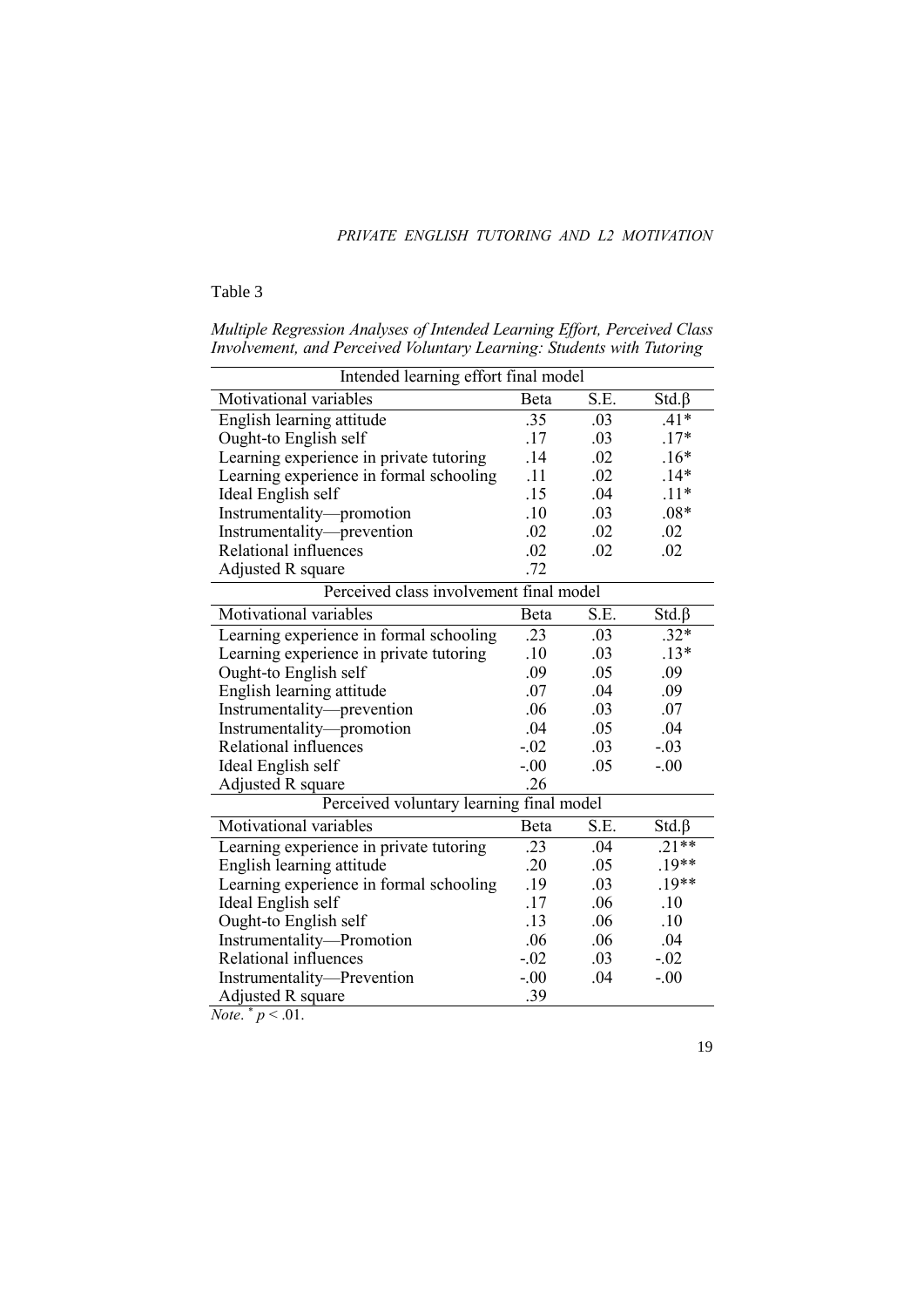# *PRIVATE ENGLISH TUTORING AND L2 MOTIVATION*

# Table 3

| Intended learning effort final model     |             |      |             |  |  |  |
|------------------------------------------|-------------|------|-------------|--|--|--|
| Motivational variables                   | <b>Beta</b> | S.E. | $Std.\beta$ |  |  |  |
| English learning attitude                | .35         | .03  | $.41*$      |  |  |  |
| Ought-to English self                    | .17         | .03  | $.17*$      |  |  |  |
| Learning experience in private tutoring  | .14         | .02  | $.16*$      |  |  |  |
| Learning experience in formal schooling  | .11         | .02  | $.14*$      |  |  |  |
| Ideal English self                       | .15         | .04  | $.11*$      |  |  |  |
| Instrumentality-promotion                | .10         | .03  | $.08*$      |  |  |  |
| Instrumentality-prevention               | .02         | .02  | .02         |  |  |  |
| Relational influences                    | .02         | .02  | .02         |  |  |  |
| Adjusted R square                        | .72         |      |             |  |  |  |
| Perceived class involvement final model  |             |      |             |  |  |  |
| Motivational variables                   | Beta        | S.E. | $Std.\beta$ |  |  |  |
| Learning experience in formal schooling  | .23         | .03  | $.32*$      |  |  |  |
| Learning experience in private tutoring  | .10         | .03  | $.13*$      |  |  |  |
| Ought-to English self                    | .09         | .05  | .09         |  |  |  |
| English learning attitude                | .07         | .04  | .09         |  |  |  |
| Instrumentality-prevention               | .06         | .03  | .07         |  |  |  |
| Instrumentality-promotion                | .04         | .05  | .04         |  |  |  |
| Relational influences                    | $-.02$      | .03  | $-.03$      |  |  |  |
| Ideal English self                       | $-.00$      | .05  | $-.00$      |  |  |  |
| Adjusted R square                        | .26         |      |             |  |  |  |
| Perceived voluntary learning final model |             |      |             |  |  |  |
| Motivational variables                   | Beta        | S.E. | $Std.\beta$ |  |  |  |
| Learning experience in private tutoring  | .23         | .04  | $.21**$     |  |  |  |
| English learning attitude                | .20         | .05  | $.19**$     |  |  |  |
| Learning experience in formal schooling  | .19         | .03  | $.19**$     |  |  |  |
| Ideal English self                       | .17         | .06  | .10         |  |  |  |
| Ought-to English self                    | .13         | .06  | .10         |  |  |  |
| Instrumentality-Promotion                | .06         | .06  | .04         |  |  |  |
| Relational influences                    | $-.02$      | .03  | $-.02$      |  |  |  |
| Instrumentality-Prevention               | $-.00$      | .04  | $-.00$      |  |  |  |
| Adjusted R square                        | .39         |      |             |  |  |  |
| <i>Note.</i> $p < .01$ .                 |             |      |             |  |  |  |

*Multiple Regression Analyses of Intended Learning Effort, Perceived Class Involvement, and Perceived Voluntary Learning: Students with Tutoring*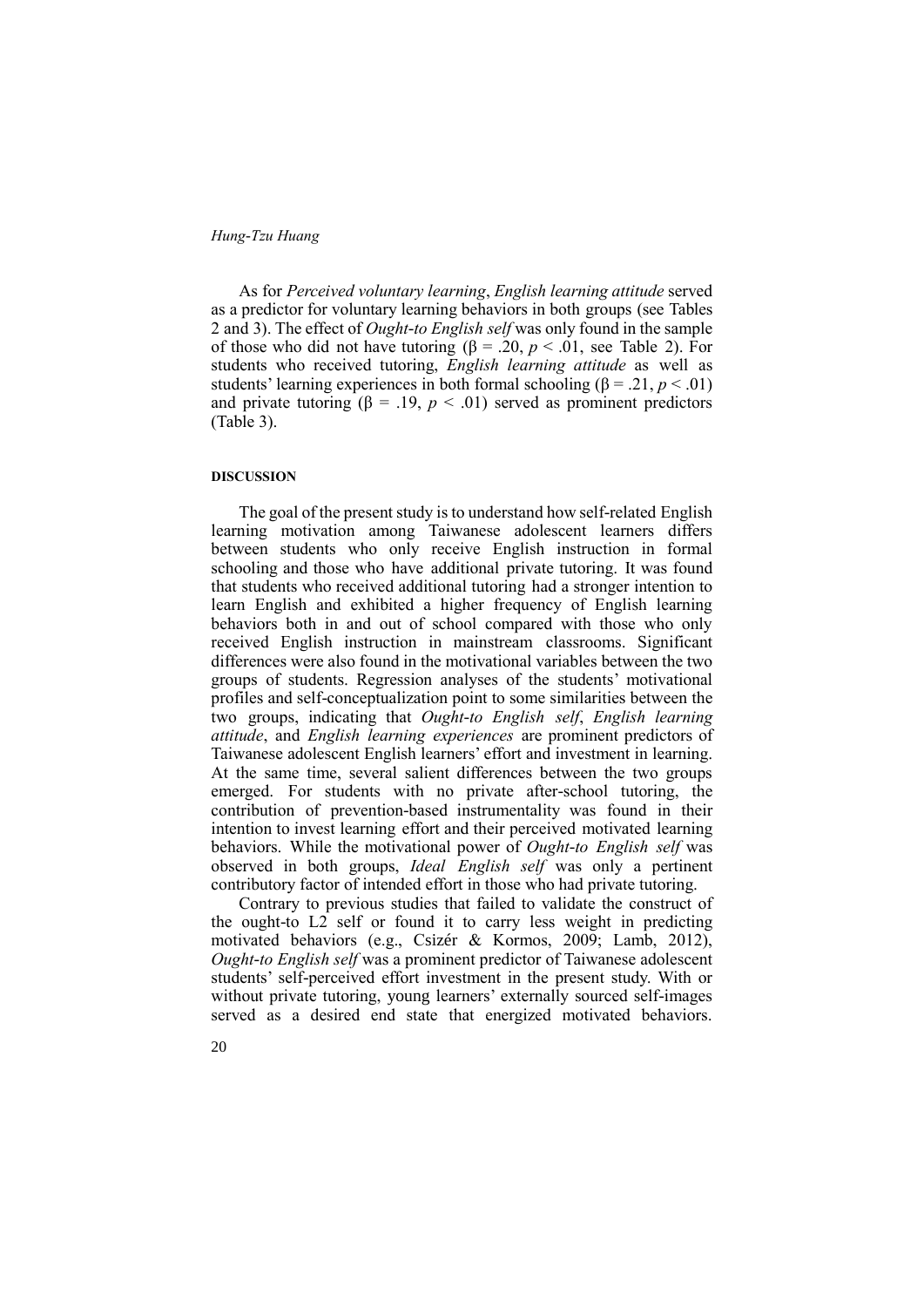As for *Perceived voluntary learning*, *English learning attitude* served as a predictor for voluntary learning behaviors in both groups (see Tables 2 and 3). The effect of *Ought-to English self* was only found in the sample of those who did not have tutoring ( $\beta = 0.20$ ,  $p < 0.01$ , see Table 2). For students who received tutoring, *English learning attitude* as well as students' learning experiences in both formal schooling ( $\beta$  = .21, *p* < .01) and private tutoring  $(\beta = .19, p < .01)$  served as prominent predictors (Table 3).

### **DISCUSSION**

The goal of the present study is to understand how self-related English learning motivation among Taiwanese adolescent learners differs between students who only receive English instruction in formal schooling and those who have additional private tutoring. It was found that students who received additional tutoring had a stronger intention to learn English and exhibited a higher frequency of English learning behaviors both in and out of school compared with those who only received English instruction in mainstream classrooms. Significant differences were also found in the motivational variables between the two groups of students. Regression analyses of the students' motivational profiles and self-conceptualization point to some similarities between the two groups, indicating that *Ought-to English self*, *English learning attitude*, and *English learning experiences* are prominent predictors of Taiwanese adolescent English learners' effort and investment in learning. At the same time, several salient differences between the two groups emerged. For students with no private after-school tutoring, the contribution of prevention-based instrumentality was found in their intention to invest learning effort and their perceived motivated learning behaviors. While the motivational power of *Ought-to English self* was observed in both groups, *Ideal English self* was only a pertinent contributory factor of intended effort in those who had private tutoring.

Contrary to previous studies that failed to validate the construct of the ought-to L2 self or found it to carry less weight in predicting motivated behaviors (e.g., Csizér & Kormos, 2009; Lamb, 2012), *Ought-to English self* was a prominent predictor of Taiwanese adolescent students' self-perceived effort investment in the present study. With or without private tutoring, young learners' externally sourced self-images served as a desired end state that energized motivated behaviors.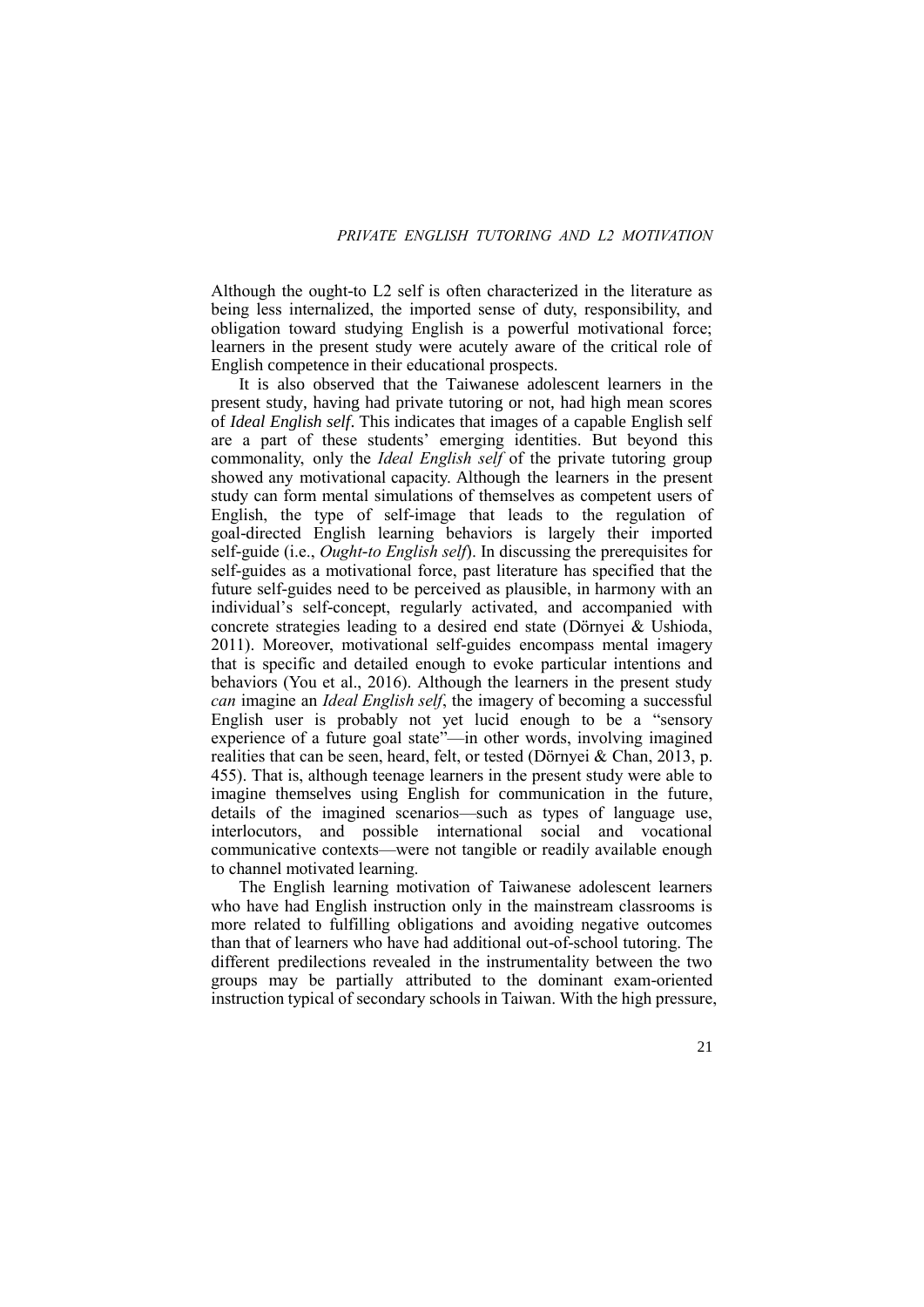Although the ought-to L2 self is often characterized in the literature as being less internalized, the imported sense of duty, responsibility, and obligation toward studying English is a powerful motivational force; learners in the present study were acutely aware of the critical role of English competence in their educational prospects.

It is also observed that the Taiwanese adolescent learners in the present study, having had private tutoring or not, had high mean scores of *Ideal English self*. This indicates that images of a capable English self are a part of these students' emerging identities. But beyond this commonality, only the *Ideal English self* of the private tutoring group showed any motivational capacity. Although the learners in the present study can form mental simulations of themselves as competent users of English, the type of self-image that leads to the regulation of goal-directed English learning behaviors is largely their imported self-guide (i.e., *Ought-to English self*). In discussing the prerequisites for self-guides as a motivational force, past literature has specified that the future self-guides need to be perceived as plausible, in harmony with an individual's self-concept, regularly activated, and accompanied with concrete strategies leading to a desired end state (Dörnyei & Ushioda, 2011). Moreover, motivational self-guides encompass mental imagery that is specific and detailed enough to evoke particular intentions and behaviors (You et al., 2016). Although the learners in the present study *can* imagine an *Ideal English self*, the imagery of becoming a successful English user is probably not yet lucid enough to be a "sensory experience of a future goal state"—in other words, involving imagined realities that can be seen, heard, felt, or tested (Dörnyei & Chan, 2013, p. 455). That is, although teenage learners in the present study were able to imagine themselves using English for communication in the future, details of the imagined scenarios—such as types of language use, interlocutors, and possible international social and vocational communicative contexts—were not tangible or readily available enough to channel motivated learning.

The English learning motivation of Taiwanese adolescent learners who have had English instruction only in the mainstream classrooms is more related to fulfilling obligations and avoiding negative outcomes than that of learners who have had additional out-of-school tutoring. The different predilections revealed in the instrumentality between the two groups may be partially attributed to the dominant exam-oriented instruction typical of secondary schools in Taiwan. With the high pressure,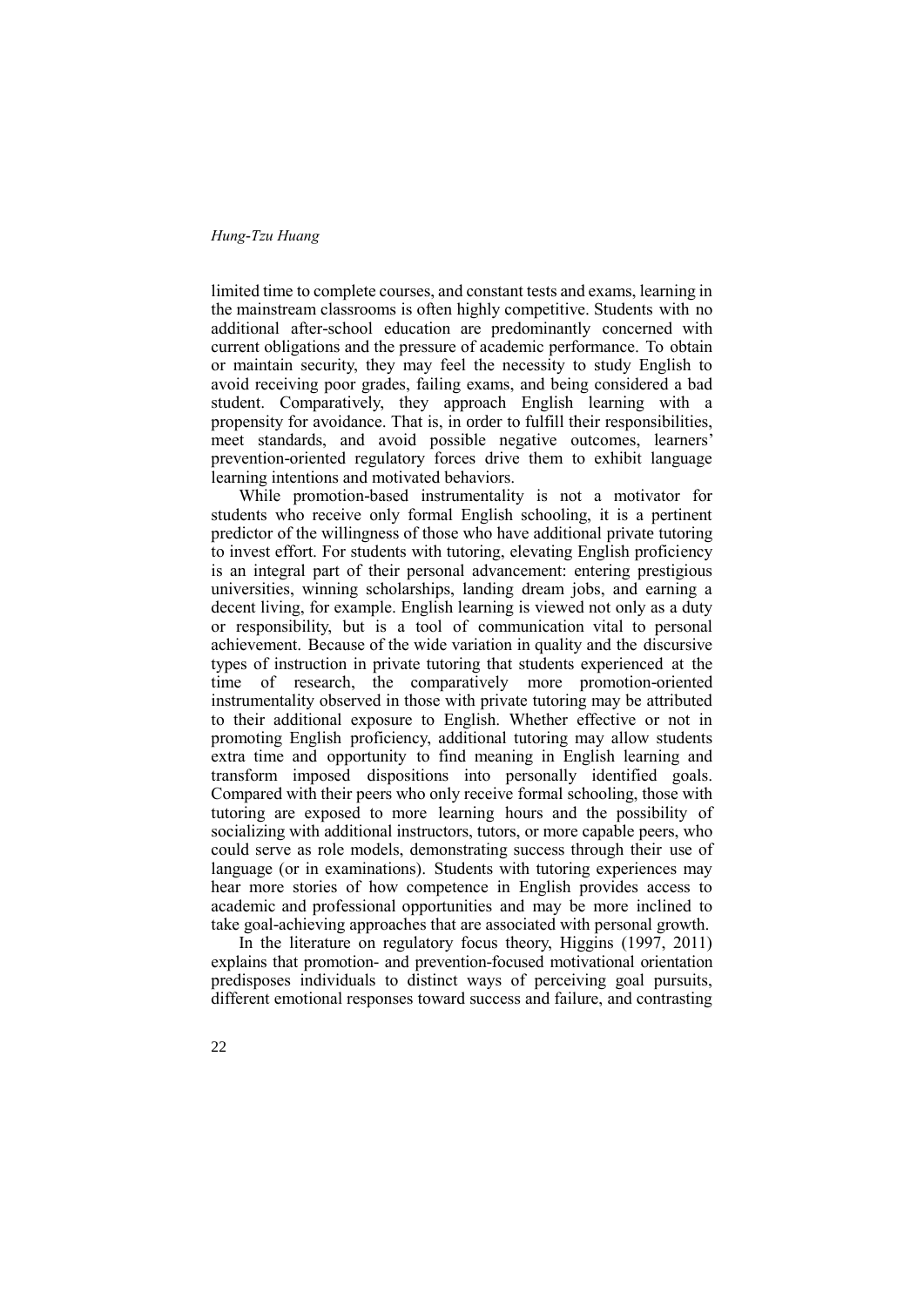limited time to complete courses, and constant tests and exams, learning in the mainstream classrooms is often highly competitive. Students with no additional after-school education are predominantly concerned with current obligations and the pressure of academic performance. To obtain or maintain security, they may feel the necessity to study English to avoid receiving poor grades, failing exams, and being considered a bad student. Comparatively, they approach English learning with a propensity for avoidance. That is, in order to fulfill their responsibilities, meet standards, and avoid possible negative outcomes, learners' prevention-oriented regulatory forces drive them to exhibit language learning intentions and motivated behaviors.

While promotion-based instrumentality is not a motivator for students who receive only formal English schooling, it is a pertinent predictor of the willingness of those who have additional private tutoring to invest effort. For students with tutoring, elevating English proficiency is an integral part of their personal advancement: entering prestigious universities, winning scholarships, landing dream jobs, and earning a decent living, for example. English learning is viewed not only as a duty or responsibility, but is a tool of communication vital to personal achievement. Because of the wide variation in quality and the discursive types of instruction in private tutoring that students experienced at the time of research, the comparatively more promotion-oriented instrumentality observed in those with private tutoring may be attributed to their additional exposure to English. Whether effective or not in promoting English proficiency, additional tutoring may allow students extra time and opportunity to find meaning in English learning and transform imposed dispositions into personally identified goals. Compared with their peers who only receive formal schooling, those with tutoring are exposed to more learning hours and the possibility of socializing with additional instructors, tutors, or more capable peers, who could serve as role models, demonstrating success through their use of language (or in examinations). Students with tutoring experiences may hear more stories of how competence in English provides access to academic and professional opportunities and may be more inclined to take goal-achieving approaches that are associated with personal growth.

In the literature on regulatory focus theory, Higgins (1997, 2011) explains that promotion- and prevention-focused motivational orientation predisposes individuals to distinct ways of perceiving goal pursuits, different emotional responses toward success and failure, and contrasting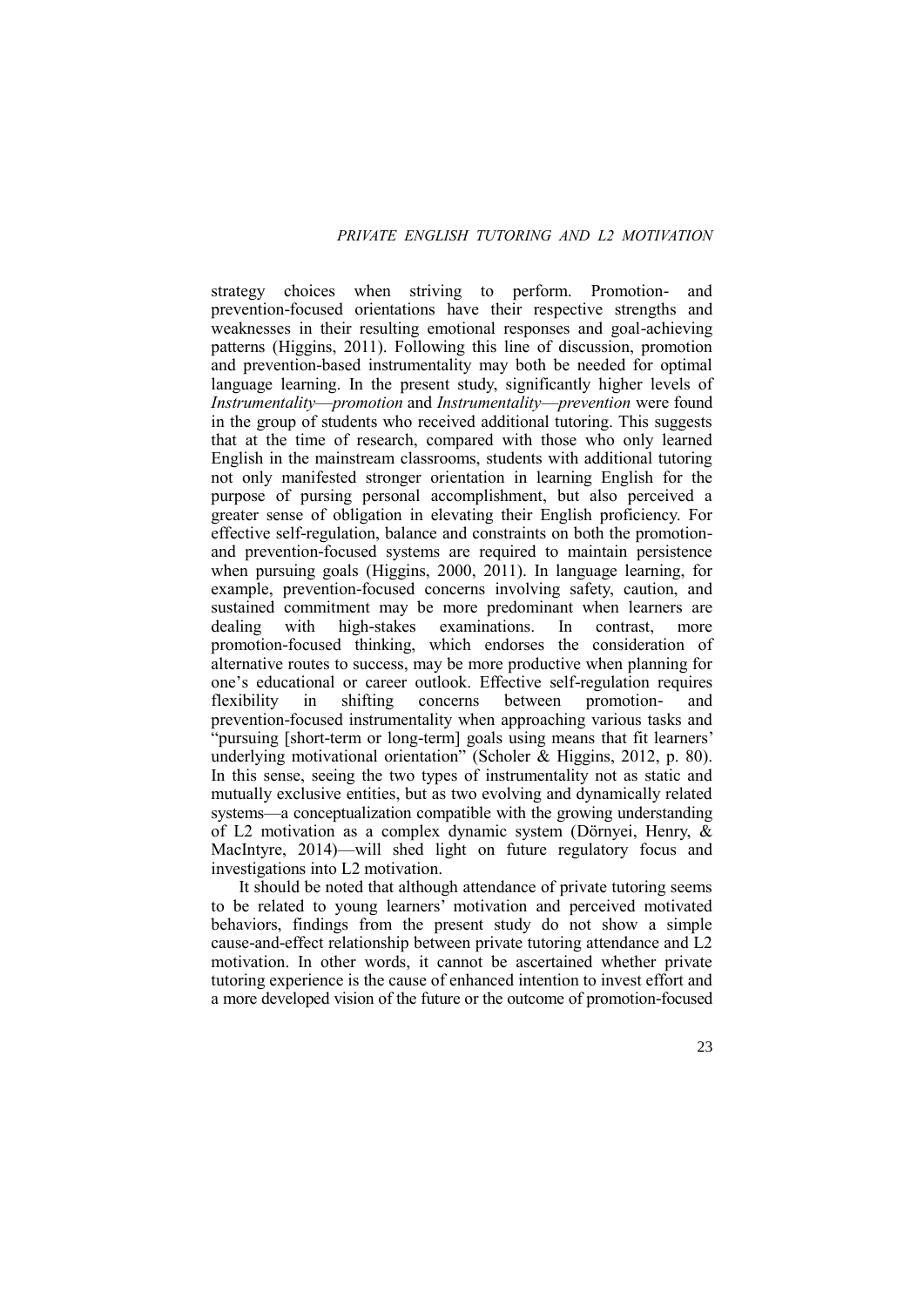strategy choices when striving to perform. Promotion- and prevention-focused orientations have their respective strengths and weaknesses in their resulting emotional responses and goal-achieving patterns (Higgins, 2011). Following this line of discussion, promotion and prevention-based instrumentality may both be needed for optimal language learning. In the present study, significantly higher levels of *Instrumentality*—*promotion* and *Instrumentality*—*prevention* were found in the group of students who received additional tutoring. This suggests that at the time of research, compared with those who only learned English in the mainstream classrooms, students with additional tutoring not only manifested stronger orientation in learning English for the purpose of pursing personal accomplishment, but also perceived a greater sense of obligation in elevating their English proficiency. For effective self-regulation, balance and constraints on both the promotionand prevention-focused systems are required to maintain persistence when pursuing goals (Higgins, 2000, 2011). In language learning, for example, prevention-focused concerns involving safety, caution, and sustained commitment may be more predominant when learners are dealing with high-stakes examinations. In contrast, more promotion-focused thinking, which endorses the consideration of alternative routes to success, may be more productive when planning for one's educational or career outlook. Effective self-regulation requires flexibility in shifting concerns between promotion- and prevention-focused instrumentality when approaching various tasks and "pursuing [short-term or long-term] goals using means that fit learners' underlying motivational orientation" (Scholer & Higgins, 2012, p. 80). In this sense, seeing the two types of instrumentality not as static and mutually exclusive entities, but as two evolving and dynamically related systems—a conceptualization compatible with the growing understanding of L2 motivation as a complex dynamic system (Dörnyei, Henry, & MacIntyre, 2014)—will shed light on future regulatory focus and investigations into L2 motivation.

It should be noted that although attendance of private tutoring seems to be related to young learners' motivation and perceived motivated behaviors, findings from the present study do not show a simple cause-and-effect relationship between private tutoring attendance and L2 motivation. In other words, it cannot be ascertained whether private tutoring experience is the cause of enhanced intention to invest effort and a more developed vision of the future or the outcome of promotion-focused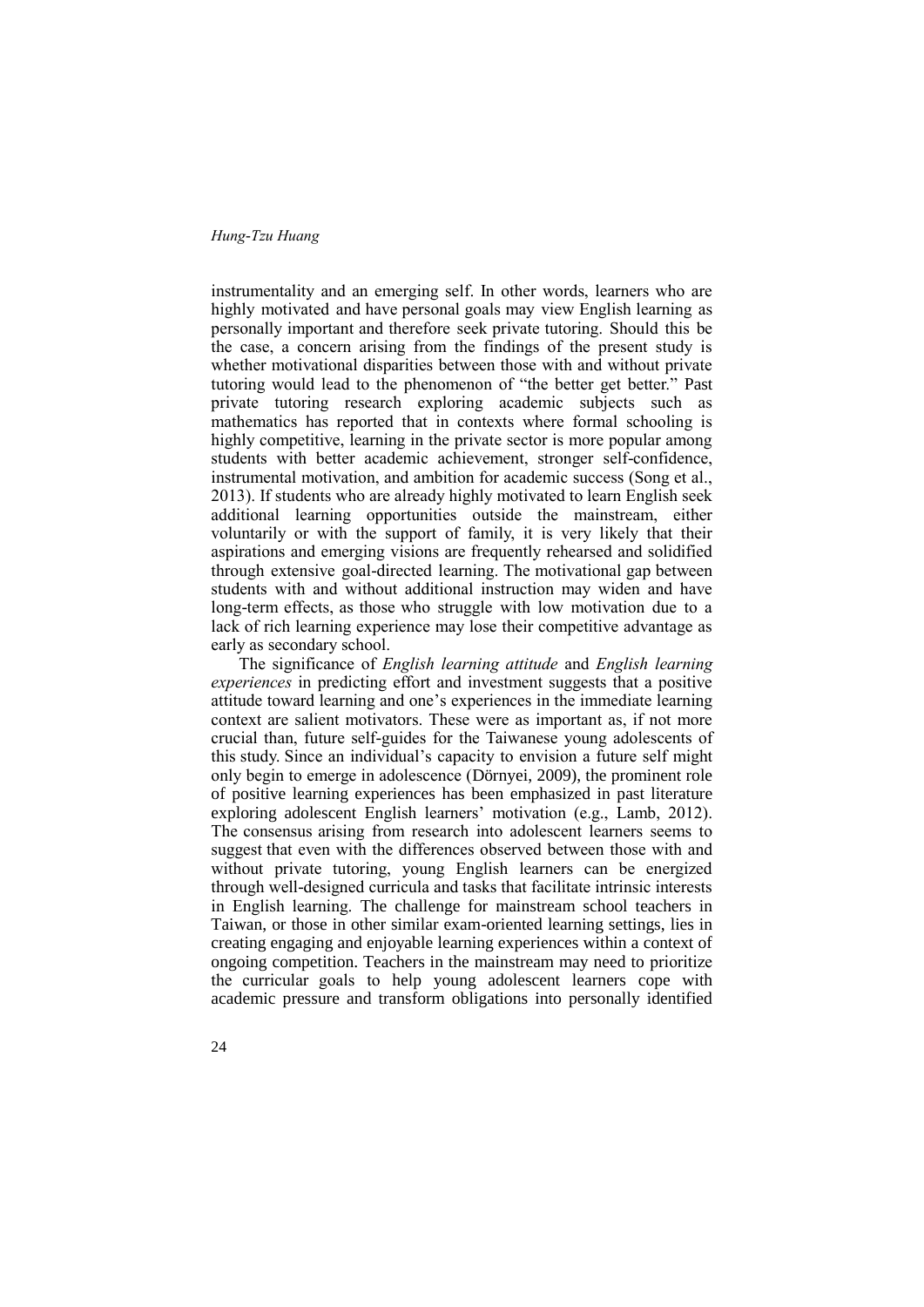instrumentality and an emerging self. In other words, learners who are highly motivated and have personal goals may view English learning as personally important and therefore seek private tutoring. Should this be the case, a concern arising from the findings of the present study is whether motivational disparities between those with and without private tutoring would lead to the phenomenon of "the better get better." Past private tutoring research exploring academic subjects such as mathematics has reported that in contexts where formal schooling is highly competitive, learning in the private sector is more popular among students with better academic achievement, stronger self-confidence, instrumental motivation, and ambition for academic success (Song et al., 2013). If students who are already highly motivated to learn English seek additional learning opportunities outside the mainstream, either voluntarily or with the support of family, it is very likely that their aspirations and emerging visions are frequently rehearsed and solidified through extensive goal-directed learning. The motivational gap between students with and without additional instruction may widen and have long-term effects, as those who struggle with low motivation due to a lack of rich learning experience may lose their competitive advantage as early as secondary school.

The significance of *English learning attitude* and *English learning experiences* in predicting effort and investment suggests that a positive attitude toward learning and one's experiences in the immediate learning context are salient motivators. These were as important as, if not more crucial than, future self-guides for the Taiwanese young adolescents of this study. Since an individual's capacity to envision a future self might only begin to emerge in adolescence (Dörnyei, 2009), the prominent role of positive learning experiences has been emphasized in past literature exploring adolescent English learners' motivation (e.g., Lamb, 2012). The consensus arising from research into adolescent learners seems to suggest that even with the differences observed between those with and without private tutoring, young English learners can be energized through well-designed curricula and tasks that facilitate intrinsic interests in English learning. The challenge for mainstream school teachers in Taiwan, or those in other similar exam-oriented learning settings, lies in creating engaging and enjoyable learning experiences within a context of ongoing competition. Teachers in the mainstream may need to prioritize the curricular goals to help young adolescent learners cope with academic pressure and transform obligations into personally identified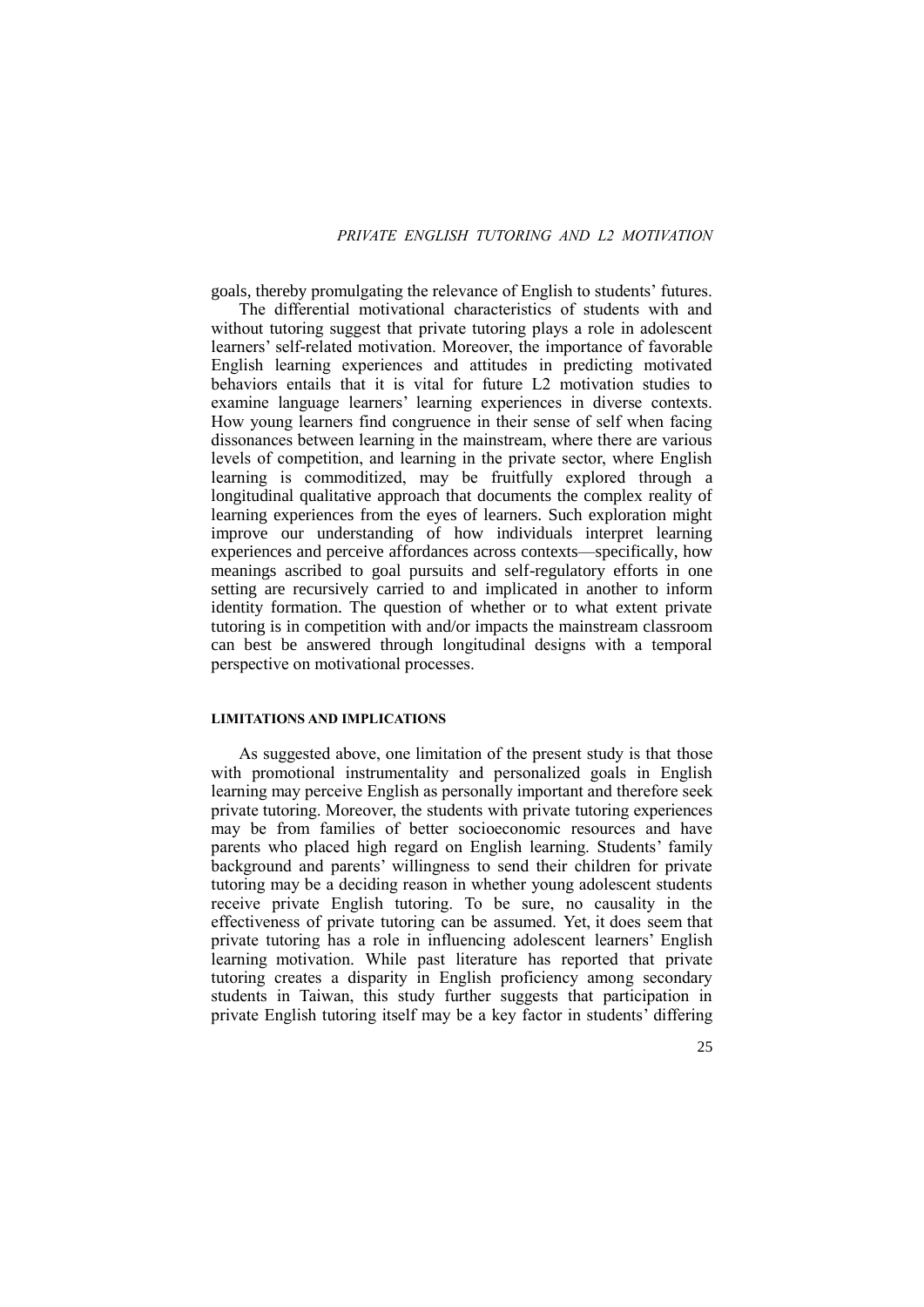goals, thereby promulgating the relevance of English to students' futures.

The differential motivational characteristics of students with and without tutoring suggest that private tutoring plays a role in adolescent learners' self-related motivation. Moreover, the importance of favorable English learning experiences and attitudes in predicting motivated behaviors entails that it is vital for future L2 motivation studies to examine language learners' learning experiences in diverse contexts. How young learners find congruence in their sense of self when facing dissonances between learning in the mainstream, where there are various levels of competition, and learning in the private sector, where English learning is commoditized, may be fruitfully explored through a longitudinal qualitative approach that documents the complex reality of learning experiences from the eyes of learners. Such exploration might improve our understanding of how individuals interpret learning experiences and perceive affordances across contexts—specifically, how meanings ascribed to goal pursuits and self-regulatory efforts in one setting are recursively carried to and implicated in another to inform identity formation. The question of whether or to what extent private tutoring is in competition with and/or impacts the mainstream classroom can best be answered through longitudinal designs with a temporal perspective on motivational processes.

#### **LIMITATIONS AND IMPLICATIONS**

As suggested above, one limitation of the present study is that those with promotional instrumentality and personalized goals in English learning may perceive English as personally important and therefore seek private tutoring. Moreover, the students with private tutoring experiences may be from families of better socioeconomic resources and have parents who placed high regard on English learning. Students' family background and parents' willingness to send their children for private tutoring may be a deciding reason in whether young adolescent students receive private English tutoring. To be sure, no causality in the effectiveness of private tutoring can be assumed. Yet, it does seem that private tutoring has a role in influencing adolescent learners' English learning motivation. While past literature has reported that private tutoring creates a disparity in English proficiency among secondary students in Taiwan, this study further suggests that participation in private English tutoring itself may be a key factor in students' differing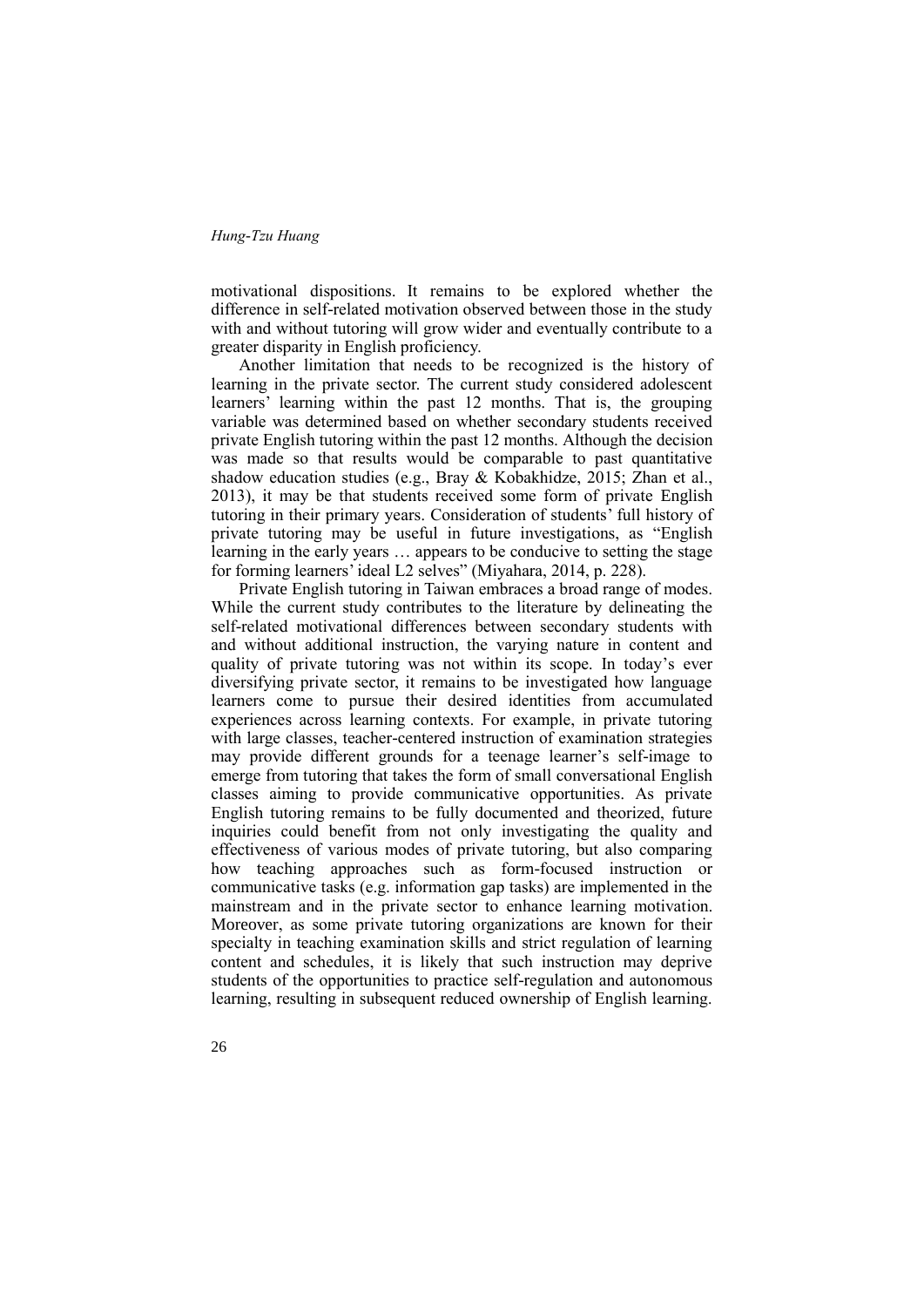motivational dispositions. It remains to be explored whether the difference in self-related motivation observed between those in the study with and without tutoring will grow wider and eventually contribute to a greater disparity in English proficiency.

Another limitation that needs to be recognized is the history of learning in the private sector. The current study considered adolescent learners' learning within the past 12 months. That is, the grouping variable was determined based on whether secondary students received private English tutoring within the past 12 months. Although the decision was made so that results would be comparable to past quantitative shadow education studies (e.g., Bray & Kobakhidze, 2015; Zhan et al., 2013), it may be that students received some form of private English tutoring in their primary years. Consideration of students' full history of private tutoring may be useful in future investigations, as "English learning in the early years … appears to be conducive to setting the stage for forming learners' ideal L2 selves" (Miyahara, 2014, p. 228).

Private English tutoring in Taiwan embraces a broad range of modes. While the current study contributes to the literature by delineating the self-related motivational differences between secondary students with and without additional instruction, the varying nature in content and quality of private tutoring was not within its scope. In today's ever diversifying private sector, it remains to be investigated how language learners come to pursue their desired identities from accumulated experiences across learning contexts. For example, in private tutoring with large classes, teacher-centered instruction of examination strategies may provide different grounds for a teenage learner's self-image to emerge from tutoring that takes the form of small conversational English classes aiming to provide communicative opportunities. As private English tutoring remains to be fully documented and theorized, future inquiries could benefit from not only investigating the quality and effectiveness of various modes of private tutoring, but also comparing how teaching approaches such as form-focused instruction or communicative tasks (e.g. information gap tasks) are implemented in the mainstream and in the private sector to enhance learning motivation. Moreover, as some private tutoring organizations are known for their specialty in teaching examination skills and strict regulation of learning content and schedules, it is likely that such instruction may deprive students of the opportunities to practice self-regulation and autonomous learning, resulting in subsequent reduced ownership of English learning.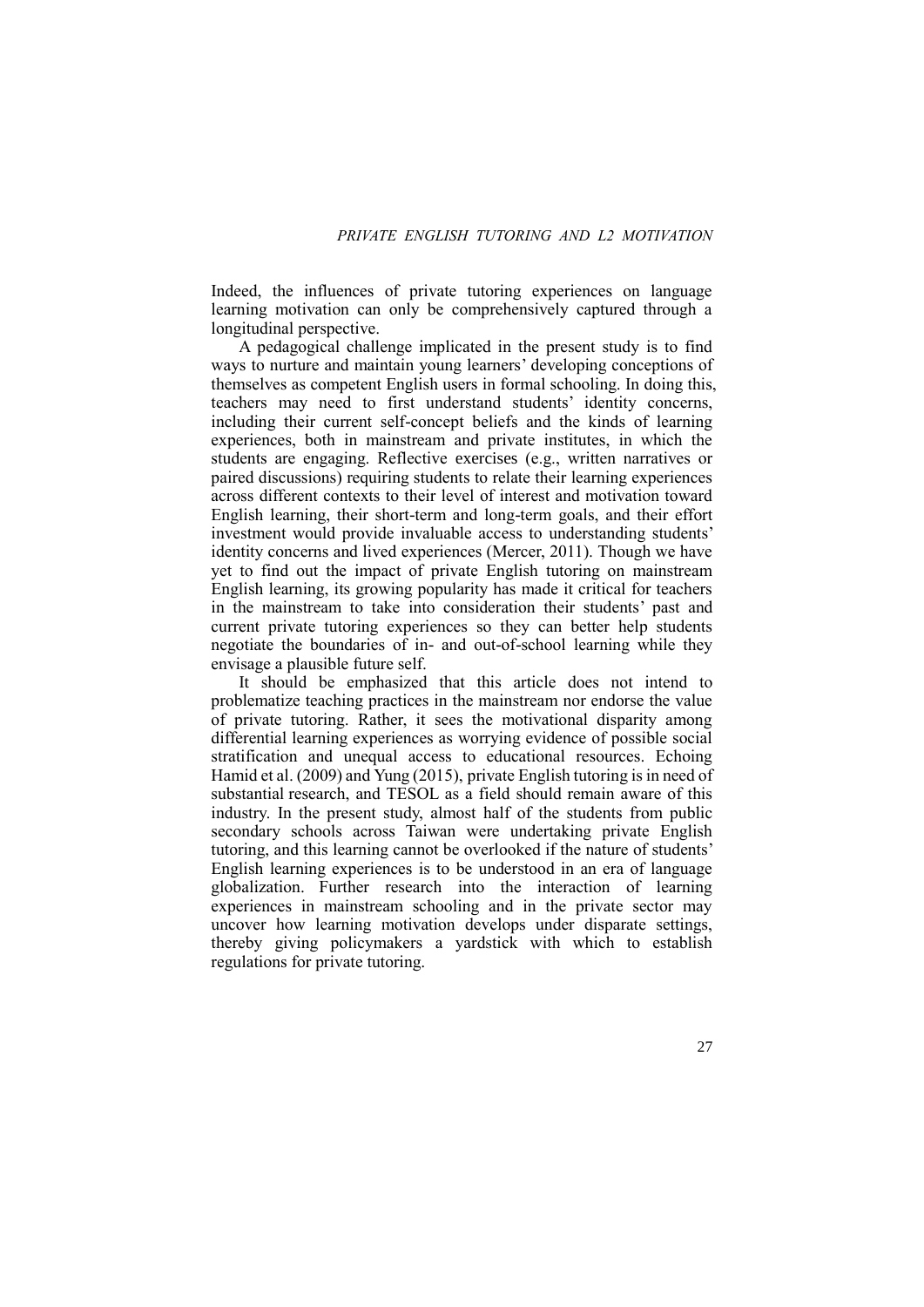Indeed, the influences of private tutoring experiences on language learning motivation can only be comprehensively captured through a longitudinal perspective.

A pedagogical challenge implicated in the present study is to find ways to nurture and maintain young learners' developing conceptions of themselves as competent English users in formal schooling. In doing this, teachers may need to first understand students' identity concerns, including their current self-concept beliefs and the kinds of learning experiences, both in mainstream and private institutes, in which the students are engaging. Reflective exercises (e.g., written narratives or paired discussions) requiring students to relate their learning experiences across different contexts to their level of interest and motivation toward English learning, their short-term and long-term goals, and their effort investment would provide invaluable access to understanding students' identity concerns and lived experiences (Mercer, 2011). Though we have yet to find out the impact of private English tutoring on mainstream English learning, its growing popularity has made it critical for teachers in the mainstream to take into consideration their students' past and current private tutoring experiences so they can better help students negotiate the boundaries of in- and out-of-school learning while they envisage a plausible future self.

It should be emphasized that this article does not intend to problematize teaching practices in the mainstream nor endorse the value of private tutoring. Rather, it sees the motivational disparity among differential learning experiences as worrying evidence of possible social stratification and unequal access to educational resources. Echoing Hamid et al. (2009) and Yung (2015), private English tutoring is in need of substantial research, and TESOL as a field should remain aware of this industry. In the present study, almost half of the students from public secondary schools across Taiwan were undertaking private English tutoring, and this learning cannot be overlooked if the nature of students' English learning experiences is to be understood in an era of language globalization. Further research into the interaction of learning experiences in mainstream schooling and in the private sector may uncover how learning motivation develops under disparate settings, thereby giving policymakers a yardstick with which to establish regulations for private tutoring.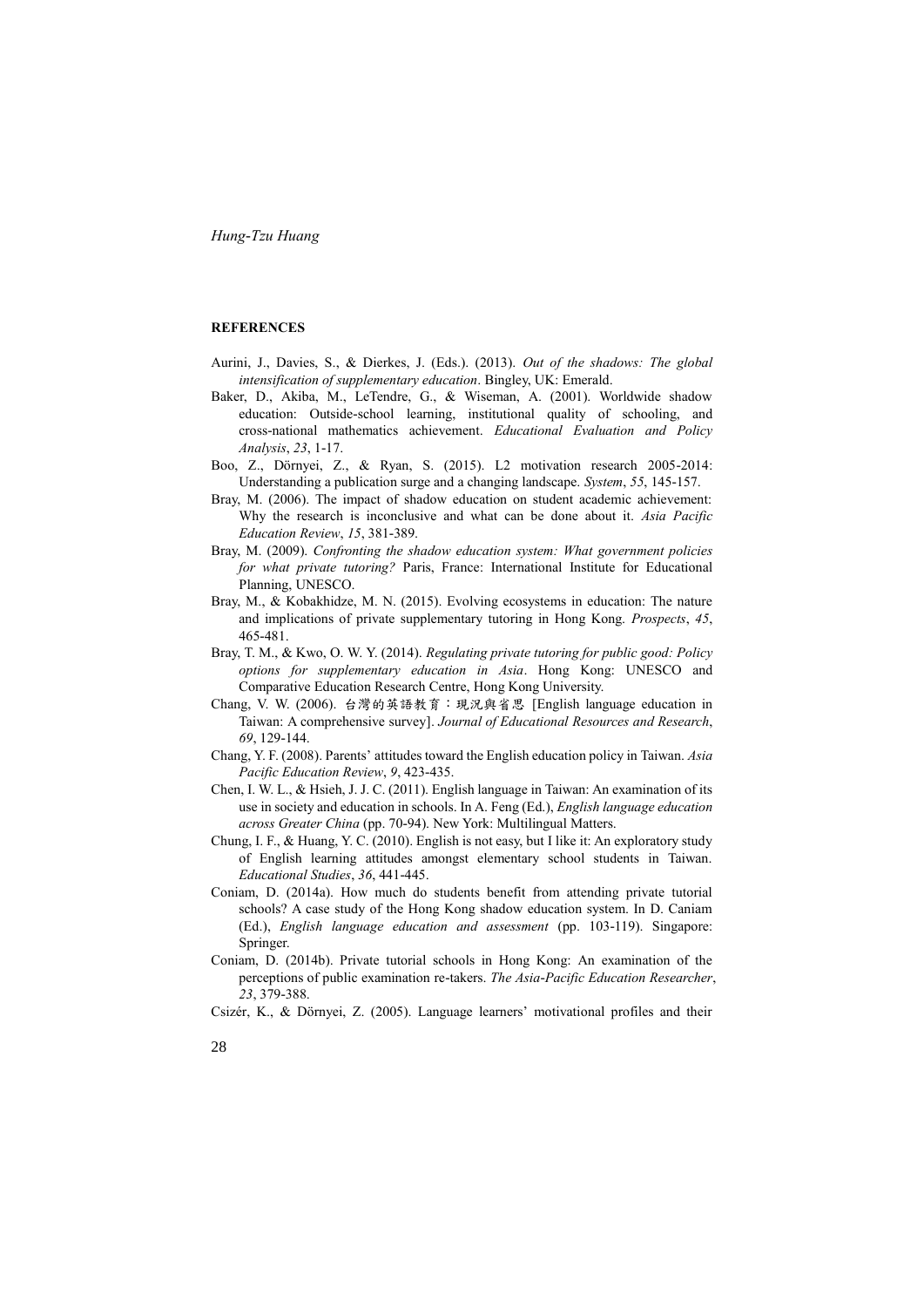### **REFERENCES**

- Aurini, J., Davies, S., & Dierkes, J. (Eds.). (2013). *Out of the shadows: The global intensification of supplementary education*. Bingley, UK: Emerald.
- Baker, D., Akiba, M., LeTendre, G., & Wiseman, A. (2001). Worldwide shadow education: Outside-school learning, institutional quality of schooling, and cross-national mathematics achievement. *Educational Evaluation and Policy Analysis*, *23*, 1-17.
- Boo, Z., Dörnyei, Z., & Ryan, S. (2015). L2 motivation research 2005-2014: Understanding a publication surge and a changing landscape. *System*, *55*, 145-157.
- Bray, M. (2006). The impact of shadow education on student academic achievement: Why the research is inconclusive and what can be done about it. *Asia Pacific Education Review*, *15*, 381-389.
- Bray, M. (2009). *Confronting the shadow education system: What government policies for what private tutoring?* Paris, France: International Institute for Educational Planning, UNESCO.
- Bray, M., & Kobakhidze, M. N. (2015). Evolving ecosystems in education: The nature and implications of private supplementary tutoring in Hong Kong. *Prospects*, *45*, 465-481.
- Bray, T. M., & Kwo, O. W. Y. (2014). *Regulating private tutoring for public good: Policy options for supplementary education in Asia*. Hong Kong: UNESCO and Comparative Education Research Centre, Hong Kong University.
- Chang, V. W. (2006). 台灣的英語教育:現況與省思 [English language education in Taiwan: A comprehensive survey]. *Journal of Educational Resources and Research*, *69*, 129-144.
- Chang, Y. F. (2008). Parents' attitudes toward the English education policy in Taiwan. *Asia Pacific Education Review*, *9*, 423-435.
- Chen, I. W. L., & Hsieh, J. J. C. (2011). English language in Taiwan: An examination of its use in society and education in schools. In A. Feng (Ed.), *English language education across Greater China* (pp. 70-94). New York: Multilingual Matters.
- Chung, I. F., & Huang, Y. C. (2010). English is not easy, but I like it: An exploratory study of English learning attitudes amongst elementary school students in Taiwan. *Educational Studies*, *36*, 441-445.
- Coniam, D. (2014a). How much do students benefit from attending private tutorial schools? A case study of the Hong Kong shadow education system. In D. Caniam (Ed.), *English language education and assessment* (pp. 103-119). Singapore: Springer.
- Coniam, D. (2014b). Private tutorial schools in Hong Kong: An examination of the perceptions of public examination re-takers. *The Asia-Pacific Education Researcher*, *23*, 379-388.
- Csizér, K., & Dörnyei, Z. (2005). Language learners' motivational profiles and their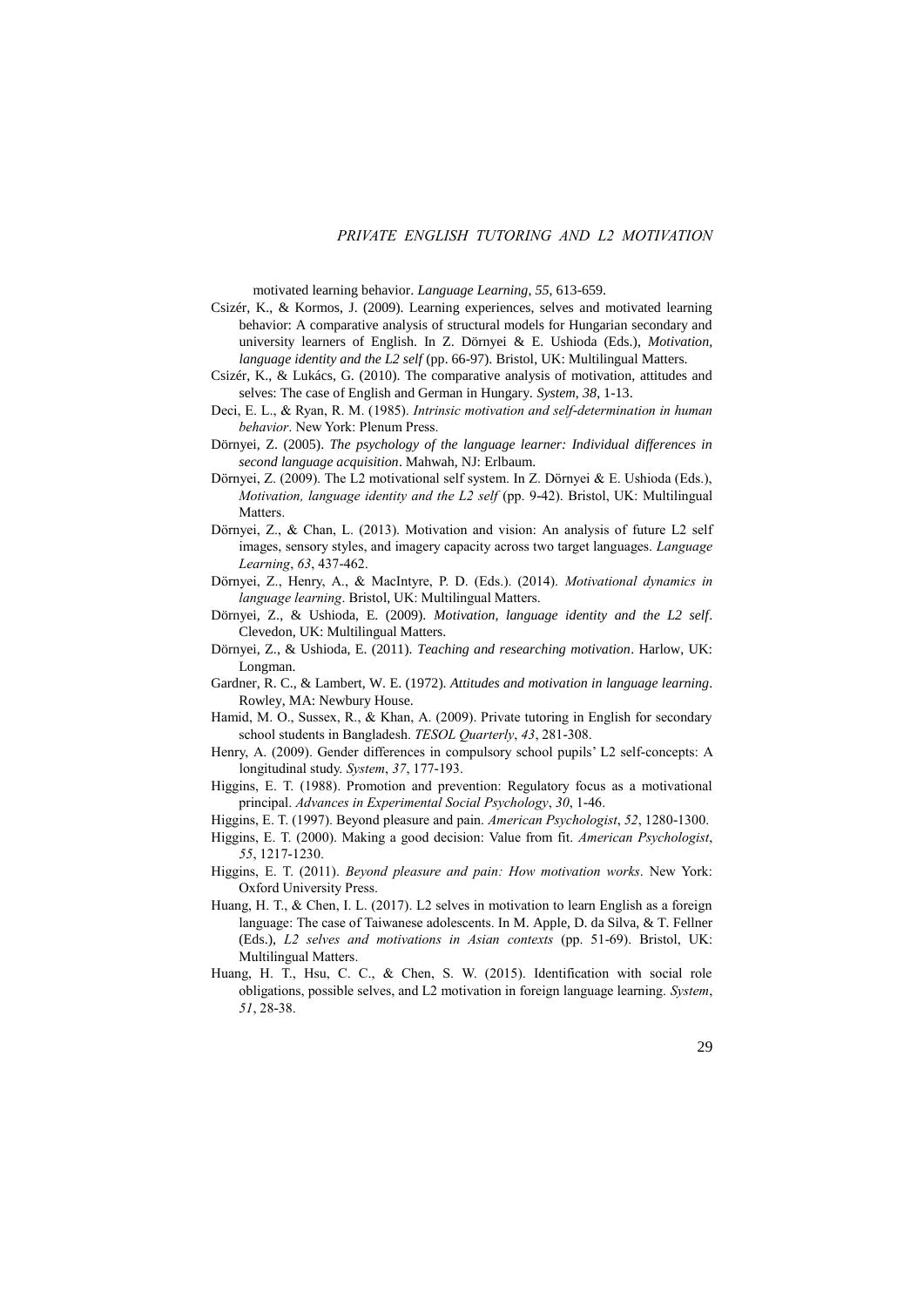motivated learning behavior. *Language Learning*, *55*, 613-659.

- Csizér, K., & Kormos, J. (2009). Learning experiences, selves and motivated learning behavior: A comparative analysis of structural models for Hungarian secondary and university learners of English. In Z. Dörnyei & E. Ushioda (Eds.), *Motivation, language identity and the L2 self* (pp. 66-97). Bristol, UK: Multilingual Matters.
- Csizér, K., & Lukács, G. (2010). The comparative analysis of motivation, attitudes and selves: The case of English and German in Hungary. *System*, *38*, 1-13.
- Deci, E. L., & Ryan, R. M. (1985). *Intrinsic motivation and self-determination in human behavior*. New York: Plenum Press.
- Dörnyei, Z. (2005). *The psychology of the language learner: Individual differences in second language acquisition*. Mahwah, NJ: Erlbaum.
- Dörnyei, Z. (2009). The L2 motivational self system. In Z. Dörnyei & E. Ushioda (Eds.), *Motivation, language identity and the L2 self* (pp. 9-42). Bristol, UK: Multilingual Matters.
- Dörnyei, Z., & Chan, L. (2013). Motivation and vision: An analysis of future L2 self images, sensory styles, and imagery capacity across two target languages. *Language Learning*, *63*, 437-462.
- Dörnyei, Z., Henry, A., & MacIntyre, P. D. (Eds.). (2014). *Motivational dynamics in language learning*. Bristol, UK: Multilingual Matters.
- Dörnyei, Z., & Ushioda, E. (2009). *Motivation, language identity and the L2 self*. Clevedon, UK: Multilingual Matters.
- Dörnyei, Z., & Ushioda, E. (2011). *Teaching and researching motivation*. Harlow, UK: Longman.
- Gardner, R. C., & Lambert, W. E. (1972). *Attitudes and motivation in language learning*. Rowley, MA: Newbury House.
- Hamid, M. O., Sussex, R., & Khan, A. (2009). Private tutoring in English for secondary school students in Bangladesh. *TESOL Quarterly*, *43*, 281-308.
- Henry, A. (2009). Gender differences in compulsory school pupils' L2 self-concepts: A longitudinal study. *System*, *37*, 177-193.
- Higgins, E. T. (1988). Promotion and prevention: Regulatory focus as a motivational principal. *Advances in Experimental Social Psychology*, *30*, 1-46.
- Higgins, E. T. (1997). Beyond pleasure and pain. *American Psychologist*, *52*, 1280-1300.
- Higgins, E. T. (2000). Making a good decision: Value from fit. *American Psychologist*, *55*, 1217-1230.
- Higgins, E. T. (2011). *Beyond pleasure and pain: How motivation works*. New York: Oxford University Press.
- Huang, H. T., & Chen, I. L. (2017). L2 selves in motivation to learn English as a foreign language: The case of Taiwanese adolescents. In M. Apple, D. da Silva, & T. Fellner (Eds.), *L2 selves and motivations in Asian contexts* (pp. 51-69). Bristol, UK: Multilingual Matters.
- Huang, H. T., Hsu, C. C., & Chen, S. W. (2015). Identification with social role obligations, possible selves, and L2 motivation in foreign language learning. *System*, *51*, 28-38.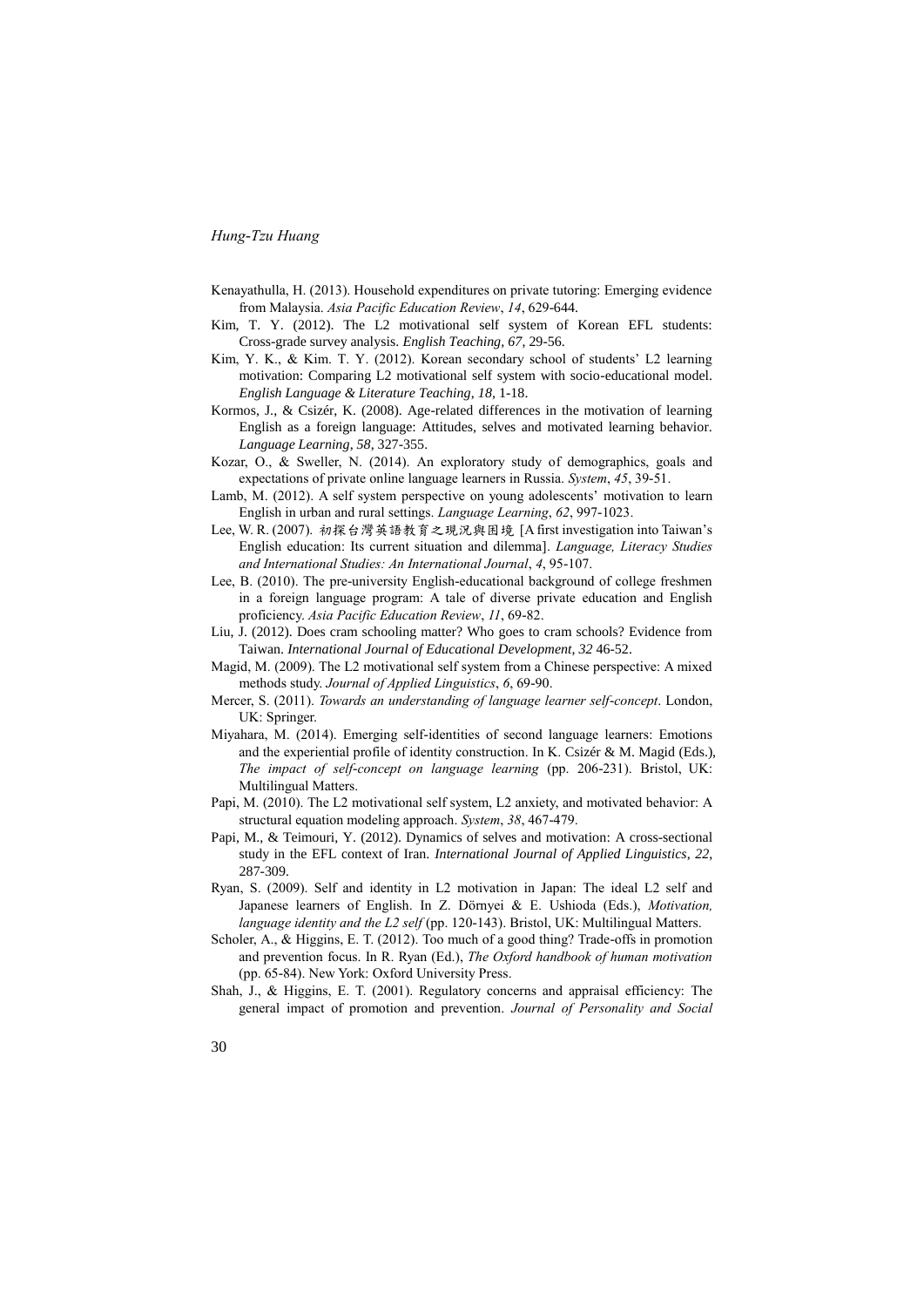- Kenayathulla, H. (2013). Household expenditures on private tutoring: Emerging evidence from Malaysia. *Asia Pacific Education Review*, *14*, 629-644.
- Kim, T. Y. (2012). The L2 motivational self system of Korean EFL students: Cross-grade survey analysis. *English Teaching*, *67*, 29-56.
- Kim, Y. K., & Kim. T. Y. (2012). Korean secondary school of students' L2 learning motivation: Comparing L2 motivational self system with socio-educational model. *English Language & Literature Teaching*, *18*, 1-18.
- Kormos, J., & Csizér, K. (2008). Age-related differences in the motivation of learning English as a foreign language: Attitudes, selves and motivated learning behavior. *Language Learning*, *58*, 327-355.
- Kozar, O., & Sweller, N. (2014). An exploratory study of demographics, goals and expectations of private online language learners in Russia. *System*, *45*, 39-51.
- Lamb, M. (2012). A self system perspective on young adolescents' motivation to learn English in urban and rural settings. *Language Learning*, *62*, 997-1023.
- Lee, W. R. (2007). 初探台灣英語教育之現況與困境 [A first investigation into Taiwan's English education: Its current situation and dilemma]. *Language, Literacy Studies and International Studies: An International Journal*, *4*, 95-107.
- Lee, B. (2010). The pre-university English-educational background of college freshmen in a foreign language program: A tale of diverse private education and English proficiency. *Asia Pacific Education Review*, *11*, 69-82.
- Liu, J. (2012). Does cram schooling matter? Who goes to cram schools? Evidence from Taiwan. *International Journal of Educational Development*, *32* 46-52.
- Magid, M. (2009). The L2 motivational self system from a Chinese perspective: A mixed methods study. *Journal of Applied Linguistics*, *6*, 69-90.
- Mercer, S. (2011). *Towards an understanding of language learner self-concept*. London, UK: Springer.
- Miyahara, M. (2014). Emerging self-identities of second language learners: Emotions and the experiential profile of identity construction. In K. Csizér & M. Magid (Eds.), *The impact of self-concept on language learning* (pp. 206-231). Bristol, UK: Multilingual Matters.
- Papi, M. (2010). The L2 motivational self system, L2 anxiety, and motivated behavior: A structural equation modeling approach. *System*, *38*, 467-479.
- Papi, M., & Teimouri, Y. (2012). Dynamics of selves and motivation: A cross-sectional study in the EFL context of Iran. *International Journal of Applied Linguistics*, *22*, 287-309.
- Ryan, S. (2009). Self and identity in L2 motivation in Japan: The ideal L2 self and Japanese learners of English. In Z. Dörnyei & E. Ushioda (Eds.), *Motivation, language identity and the L2 self* (pp. 120-143). Bristol, UK: Multilingual Matters.
- Scholer, A., & Higgins, E. T. (2012). Too much of a good thing? Trade-offs in promotion and prevention focus. In R. Ryan (Ed.), *The Oxford handbook of human motivation* (pp. 65-84). New York: Oxford University Press.
- Shah, J., & Higgins, E. T. (2001). Regulatory concerns and appraisal efficiency: The general impact of promotion and prevention. *Journal of Personality and Social*
- 30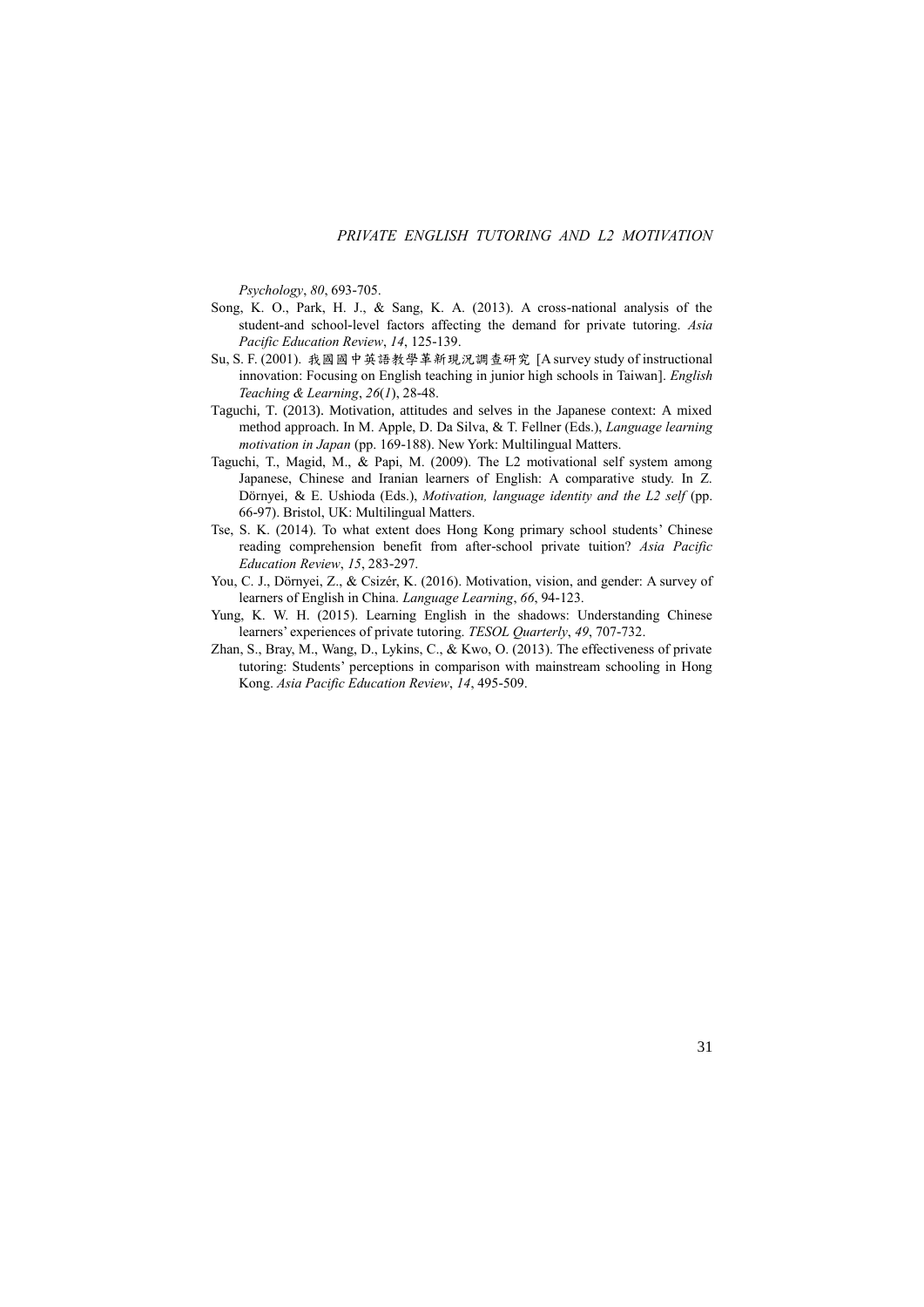*Psychology*, *80*, 693-705.

- Song, K. O., Park, H. J., & Sang, K. A. (2013). A cross-national analysis of the student-and school-level factors affecting the demand for private tutoring. *Asia Pacific Education Review*, *14*, 125-139.
- Su, S. F. (2001). 我國國中英語教學革新現況調查研究 [A survey study of instructional innovation: Focusing on English teaching in junior high schools in Taiwan]. *English Teaching & Learning*, *26*(*1*), 28-48.
- Taguchi, T. (2013). Motivation, attitudes and selves in the Japanese context: A mixed method approach. In M. Apple, D. Da Silva, & T. Fellner (Eds.), *Language learning motivation in Japan* (pp. 169-188). New York: Multilingual Matters.
- Taguchi, T., Magid, M., & Papi, M. (2009). The L2 motivational self system among Japanese, Chinese and Iranian learners of English: A comparative study. In Z. Dörnyei, & E. Ushioda (Eds.), *Motivation, language identity and the L2 self* (pp. 66-97). Bristol, UK: Multilingual Matters.
- Tse, S. K. (2014). To what extent does Hong Kong primary school students' Chinese reading comprehension benefit from after-school private tuition? *Asia Pacific Education Review*, *15*, 283-297.
- You, C. J., Dörnyei, Z., & Csizér, K. (2016). Motivation, vision, and gender: A survey of learners of English in China. *Language Learning*, *66*, 94-123.
- Yung, K. W. H. (2015). Learning English in the shadows: Understanding Chinese learners' experiences of private tutoring. *TESOL Quarterly*, *49*, 707-732.
- Zhan, S., Bray, M., Wang, D., Lykins, C., & Kwo, O. (2013). The effectiveness of private tutoring: Students' perceptions in comparison with mainstream schooling in Hong Kong. *Asia Pacific Education Review*, *14*, 495-509.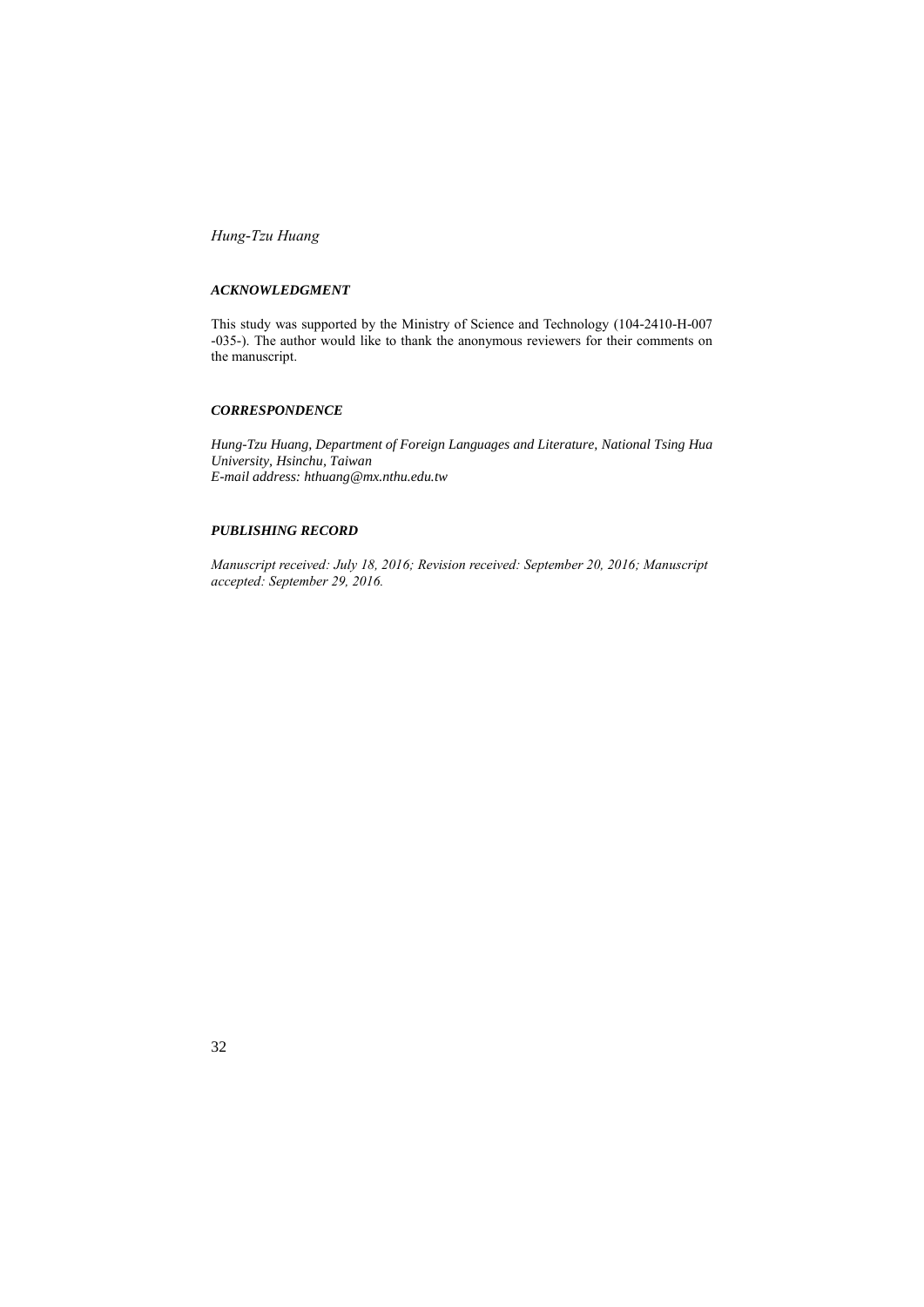### *ACKNOWLEDGMENT*

This study was supported by the Ministry of Science and Technology (104-2410-H-007 -035-). The author would like to thank the anonymous reviewers for their comments on the manuscript.

#### *CORRESPONDENCE*

*Hung-Tzu Huang, Department of Foreign Languages and Literature, National Tsing Hua University, Hsinchu, Taiwan E-mail address: hthuang@mx.nthu.edu.tw*

### *PUBLISHING RECORD*

*Manuscript received: July 18, 2016; Revision received: September 20, 2016; Manuscript accepted: September 29, 2016.*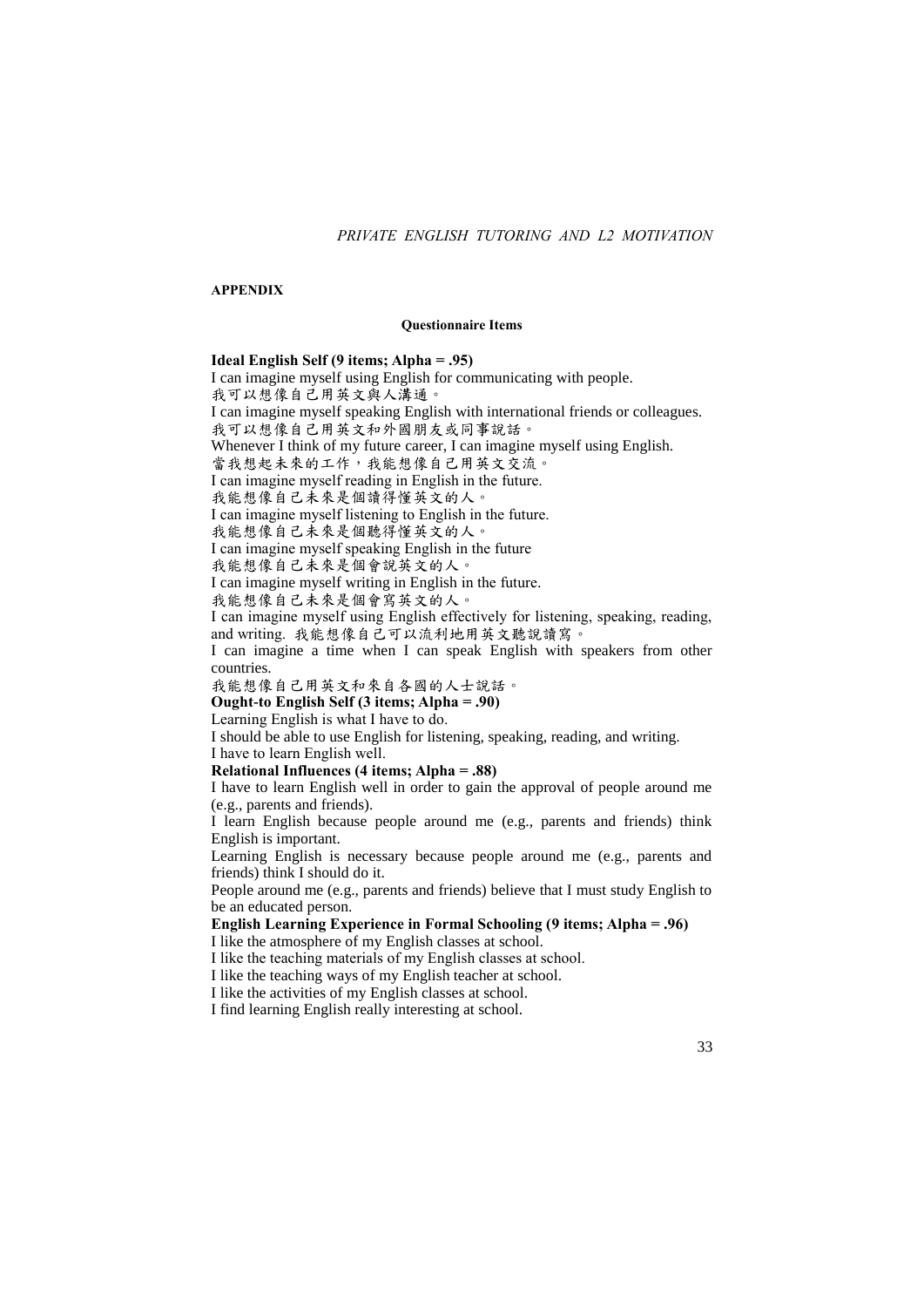## *PRIVATE ENGLISH TUTORING AND L2 MOTIVATION*

#### **APPENDIX**

#### **Questionnaire Items**

### **Ideal English Self (9 items; Alpha = .95)**

I can imagine myself using English for communicating with people. 我可以想像自己用英文與人溝通。 I can imagine myself speaking English with international friends or colleagues. 我可以想像自己用英文和外國朋友或同事說話。 Whenever I think of my future career, I can imagine myself using English. 當我想起未來的工作,我能想像自己用英文交流。 I can imagine myself reading in English in the future. 我能想像自己未來是個讀得懂英文的人。 I can imagine myself listening to English in the future. 我能想像自己未來是個聽得懂英文的人。 I can imagine myself speaking English in the future 我能想像自己未來是個會說英文的人。 I can imagine myself writing in English in the future. 我能想像自己未來是個會寫英文的人。 I can imagine myself using English effectively for listening, speaking, reading, and writing. 我能想像自己可以流利地用英文聽說讀寫。 I can imagine a time when I can speak English with speakers from other countries. 我能想像自己用英文和來自各國的人士說話。 **Ought-to English Self (3 items; Alpha = .90)** Learning English is what I have to do. I should be able to use English for listening, speaking, reading, and writing. I have to learn English well.

**Relational Influences (4 items; Alpha = .88)**

I have to learn English well in order to gain the approval of people around me (e.g., parents and friends).

I learn English because people around me (e.g., parents and friends) think English is important.

Learning English is necessary because people around me (e.g., parents and friends) think I should do it.

People around me (e.g., parents and friends) believe that I must study English to be an educated person.

**English Learning Experience in Formal Schooling (9 items; Alpha = .96)** I like the atmosphere of my English classes at school.

I like the teaching materials of my English classes at school.

I like the teaching ways of my English teacher at school.

I like the activities of my English classes at school.

I find learning English really interesting at school.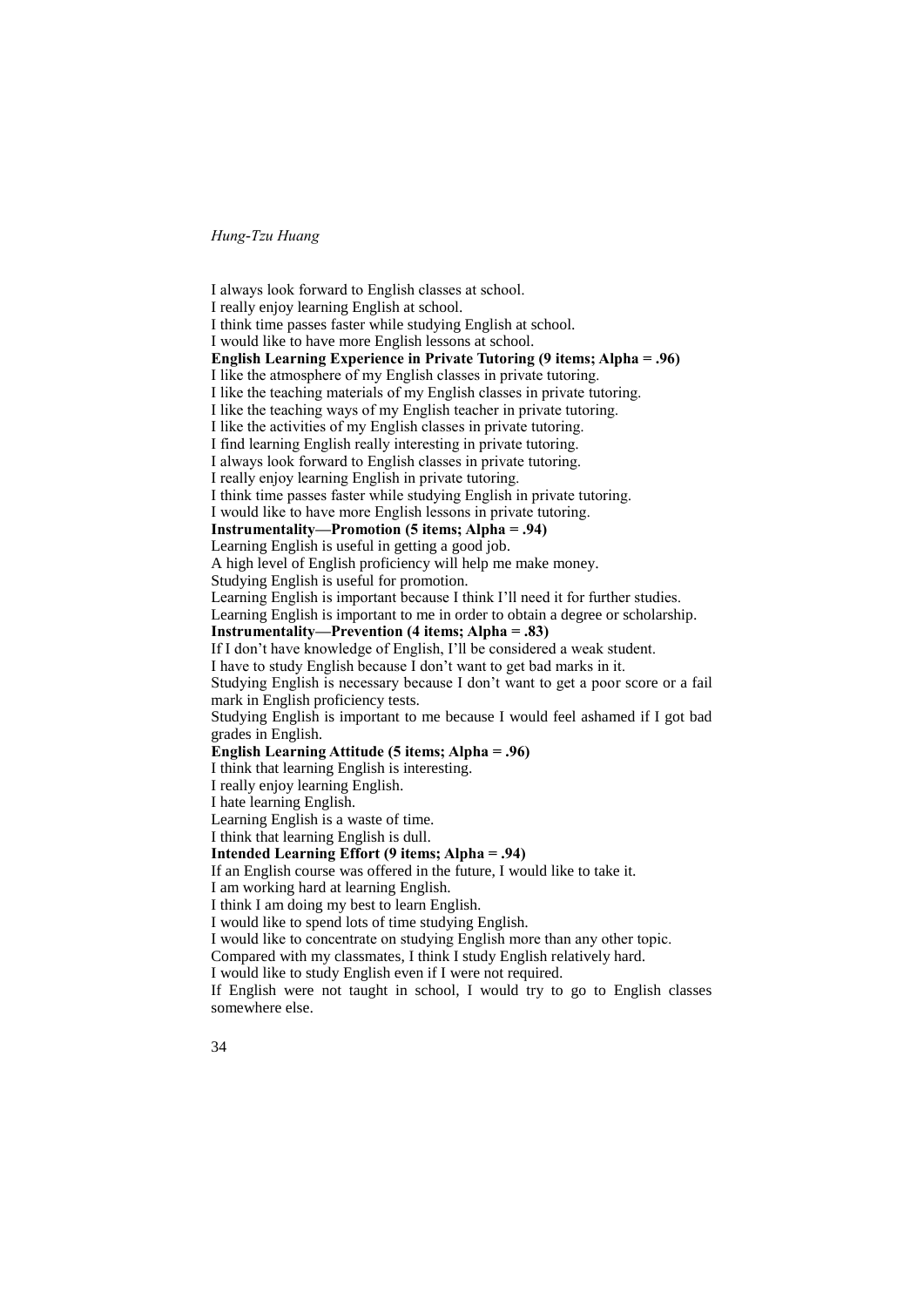I always look forward to English classes at school. I really enjoy learning English at school. I think time passes faster while studying English at school. I would like to have more English lessons at school. **English Learning Experience in Private Tutoring (9 items; Alpha = .96)** I like the atmosphere of my English classes in private tutoring. I like the teaching materials of my English classes in private tutoring. I like the teaching ways of my English teacher in private tutoring. I like the activities of my English classes in private tutoring. I find learning English really interesting in private tutoring. I always look forward to English classes in private tutoring. I really enjoy learning English in private tutoring. I think time passes faster while studying English in private tutoring. I would like to have more English lessons in private tutoring. **Instrumentality—Promotion (5 items; Alpha = .94)** Learning English is useful in getting a good job. A high level of English proficiency will help me make money. Studying English is useful for promotion. Learning English is important because I think I'll need it for further studies. Learning English is important to me in order to obtain a degree or scholarship. **Instrumentality—Prevention (4 items; Alpha = .83)** If I don't have knowledge of English, I'll be considered a weak student. I have to study English because I don't want to get bad marks in it. Studying English is necessary because I don't want to get a poor score or a fail mark in English proficiency tests. Studying English is important to me because I would feel ashamed if I got bad grades in English. **English Learning Attitude (5 items; Alpha = .96)** I think that learning English is interesting. I really enjoy learning English. I hate learning English. Learning English is a waste of time. I think that learning English is dull. **Intended Learning Effort (9 items; Alpha = .94)** If an English course was offered in the future, I would like to take it. I am working hard at learning English. I think I am doing my best to learn English. I would like to spend lots of time studying English. I would like to concentrate on studying English more than any other topic. Compared with my classmates, I think I study English relatively hard. I would like to study English even if I were not required.

If English were not taught in school, I would try to go to English classes somewhere else.

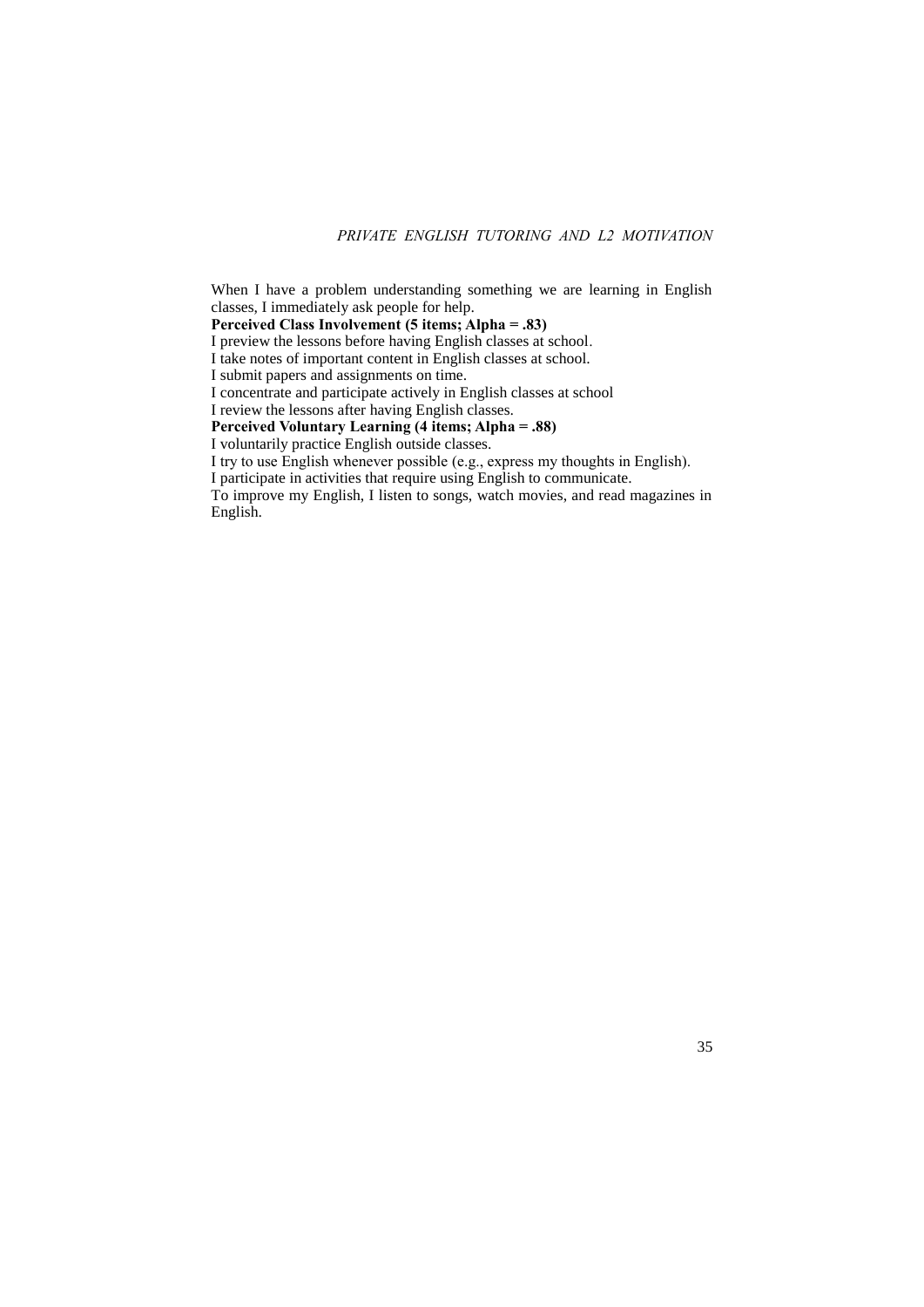# *PRIVATE ENGLISH TUTORING AND L2 MOTIVATION*

When I have a problem understanding something we are learning in English classes, I immediately ask people for help. **Perceived Class Involvement (5 items; Alpha = .83)** I preview the lessons before having English classes at school. I take notes of important content in English classes at school. I submit papers and assignments on time. I concentrate and participate actively in English classes at school I review the lessons after having English classes. **Perceived Voluntary Learning (4 items; Alpha = .88)** I voluntarily practice English outside classes. I try to use English whenever possible (e.g., express my thoughts in English). I participate in activities that require using English to communicate. To improve my English, I listen to songs, watch movies, and read magazines in English.